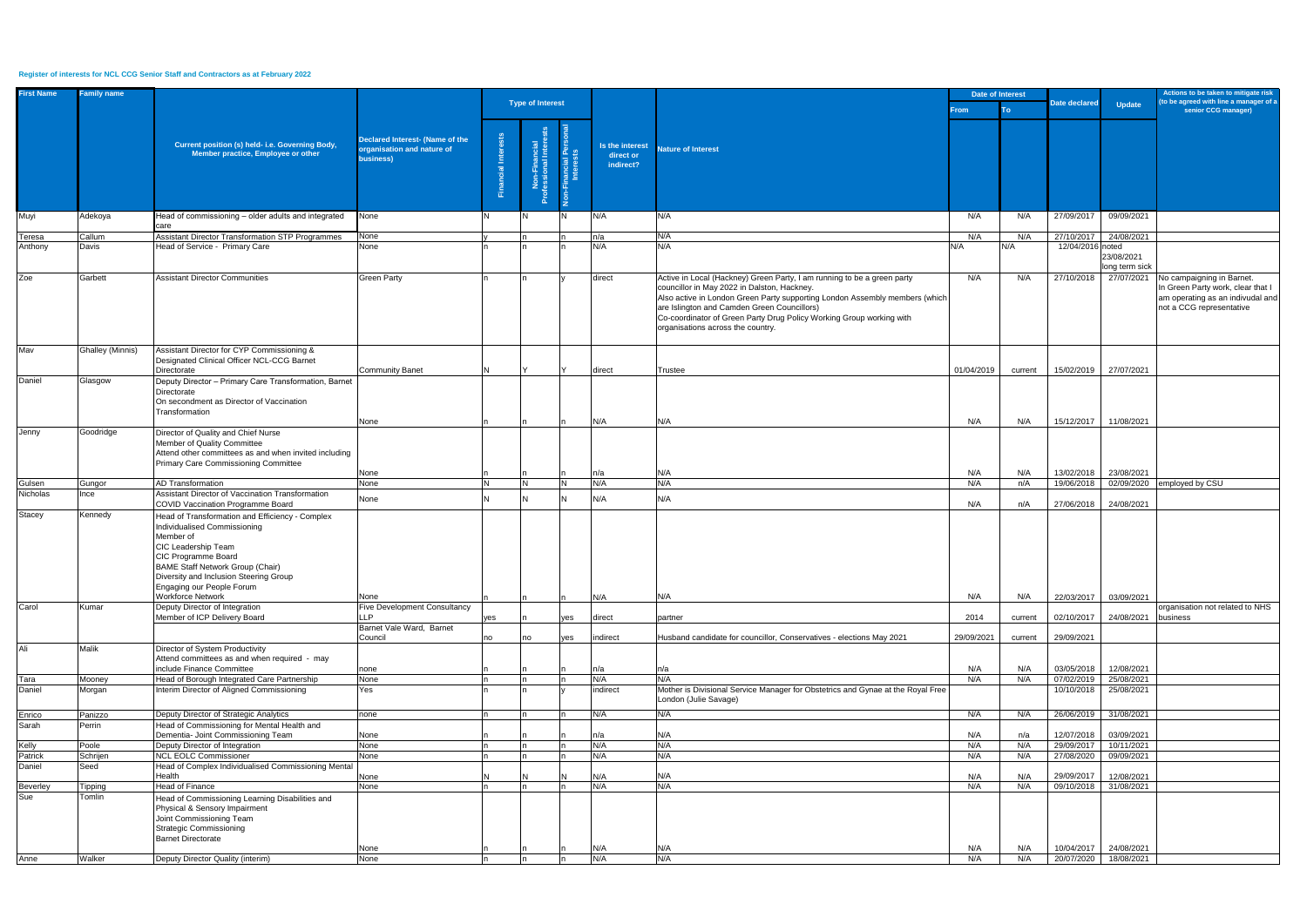## **Register of interests for NCL CCG Senior Staff and Contractors as at February 2022**

| <b>Type of Interest</b><br>Date declared<br><b>Update</b><br>senior CCG manager)<br>From :<br>To<br>Declared Interest- (Name of the<br>Non-Financial<br>fessional Interea<br>Current position (s) held- i.e. Governing Body,<br>Is the interest<br>prganisation and nature of<br><b>Nature of Interest</b><br>Member practice, Employee or other<br>direct or<br>business)<br>indirect?<br>cial<br>N/A<br>Head of commissioning - older adults and integrated<br>N/A<br>N/A<br>27/09/2017<br>09/09/2021<br>Adekoya<br>None<br>N/A<br>N<br>care<br><b>Assistant Director Transformation STP Programmes</b><br>24/08/2021<br>Callum<br>None<br>n/a<br>N/A<br>N/A<br>N/A<br>27/10/2017<br>Teresa<br>N/A<br>N/A<br>12/04/2016 noted<br>Anthony<br>Davis<br>Head of Service - Primary Care<br>None<br>N/A<br>N/A<br>23/08/2021<br>long term sick<br>Active in Local (Hackney) Green Party, I am running to be a green party<br>27/07/2021 No campaigning in Barnet.<br>Garbett<br><b>Assistant Director Communities</b><br><b>Green Party</b><br>direct<br>N/A<br>N/A<br>27/10/2018<br>councillor in May 2022 in Dalston, Hackney.<br>In Green Party work, clear that I<br>Also active in London Green Party supporting London Assembly members (which<br>am operating as an indivudal and<br>are Islington and Camden Green Councillors)<br>not a CCG representative<br>Co-coordinator of Green Party Drug Policy Working Group working with<br>organisations across the country.<br><b>Ghalley (Minnis)</b><br>Assistant Director for CYP Commissioning &<br>Designated Clinical Officer NCL-CCG Barnet<br>Directorate<br><b>Community Banet</b><br>01/04/2019<br>15/02/2019<br>27/07/2021<br>direct<br>Trustee<br>current<br>Glasgow<br>Deputy Director - Primary Care Transformation, Barnet<br>Daniel<br>Directorate<br>On secondment as Director of Vaccination<br>Transformation<br>N/A<br>N/A<br>N/A<br>N/A<br>15/12/2017<br>11/08/2021<br>None<br>Jenny<br>Goodridge<br>Director of Quality and Chief Nurse<br>Member of Quality Committee<br>Attend other committees as and when invited including<br>Primary Care Commissioning Committee<br>N/A<br>N/A<br>13/02/2018<br>23/08/2021<br>N/A<br>None<br>n/a<br>02/09/2020 employed by CSU<br><b>AD Transformation</b><br>N/A<br>N/A<br>Gulsen<br>None<br>N/A<br>n/A<br>19/06/2018<br>Gungor<br>N<br><b>N</b><br>Nicholas<br>Ince<br>Assistant Director of Vaccination Transformation<br>N/A<br>N/A<br>None<br>24/08/2021<br>N/A<br>n/A<br>27/06/2018<br>COVID Vaccination Programme Board<br><b>Stacey</b><br>Kennedy<br>Head of Transformation and Efficiency - Complex<br>Individualised Commissioning<br>Member of<br>CIC Leadership Team<br>CIC Programme Board<br><b>BAME Staff Network Group (Chair)</b><br>Diversity and Inclusion Steering Group<br>Engaging our People Forum<br><b>Workforce Network</b><br>N/A<br>N/A<br>N/A<br>N/A<br>03/09/2021<br>22/03/2017<br>None<br>Carol<br>Deputy Director of Integration<br><b>Five Development Consultancy</b><br>organisation not related to NHS<br>Kumar<br>Member of ICP Delivery Board<br>LLP<br>24/08/2021 business<br>2014<br>02/10/2017<br>direct<br>yes<br>yes<br>partner<br>current<br>Barnet Vale Ward, Barnet<br>indirect<br>Husband candidate for councillor, Conservatives - elections May 2021<br>29/09/2021<br>29/09/2021<br>Council<br>yes<br>current<br>no<br>no<br>Ali<br>Malik<br>Director of System Productivity<br>Attend committees as and when required - may<br>include Finance Committee<br>N/A<br>12/08/2021<br>n/a<br>N/A<br>03/05/2018<br>none<br>n/a<br>N/A<br>N/A<br>N/A<br>07/02/2019<br>25/08/2021<br>Head of Borough Integrated Care Partnership<br>N/A<br>Tara<br>Mooney<br>None<br>Interim Director of Aligned Commissioning<br>Mother is Divisional Service Manager for Obstetrics and Gynae at the Royal Free<br>Daniel<br>Morgan<br>Yes<br>indirect<br>10/10/2018<br>25/08/2021<br>London (Julie Savage)<br>Deputy Director of Strategic Analytics<br>N/A<br>N/A<br>26/06/2019<br>31/08/2021<br>N/A<br>N/A<br>Enrico<br>Panizzo<br>none<br>Head of Commissioning for Mental Health and<br>Perrin<br>03/09/2021<br>Dementia- Joint Commissioning Team<br>N/A<br>N/A<br>12/07/2018<br>None<br>n/a<br>n/a<br>N/A<br>Deputy Director of Integration<br>N/A<br>29/09/2017<br>10/11/2021<br>Kelly<br>None<br>N/A<br>N/A<br>Poole<br>N/A<br>Patrick<br><b>NCL EOLC Commissioner</b><br>N/A<br>N/A<br>27/08/2020<br>09/09/2021<br>Schrijen<br>None<br>N/A<br>Daniel<br>Seed<br>Head of Complex Individualised Commissioning Mental<br>Health<br>N/A<br>29/09/2017<br>12/08/2021<br>N/A<br>N/A<br>N/A<br>None<br><b>Head of Finance</b><br>None<br>N/A<br>N/A<br>09/10/2018<br>N/A<br>N/A<br>31/08/2021<br>Beverley<br><b>Tipping</b><br>n<br>Sue<br>Tomlin<br>Head of Commissioning Learning Disabilities and<br>Physical & Sensory Impairment<br>Joint Commissioning Team<br><b>Strategic Commissioning</b><br><b>Barnet Directorate</b><br>N/A<br>N/A<br>24/08/2021<br>N/A<br>N/A<br>10/04/2017<br>None<br>N/A<br>N/A<br>Deputy Director Quality (interim)<br>20/07/2020 18/08/2021<br>Walker<br>None<br>N/A<br>N/A<br>In. | <b>First Name</b> | <b>Family name</b> |  |  |  |  |  | <b>Date of Interest</b> |  | Actions to be taken to mitigate risk   |
|---------------------------------------------------------------------------------------------------------------------------------------------------------------------------------------------------------------------------------------------------------------------------------------------------------------------------------------------------------------------------------------------------------------------------------------------------------------------------------------------------------------------------------------------------------------------------------------------------------------------------------------------------------------------------------------------------------------------------------------------------------------------------------------------------------------------------------------------------------------------------------------------------------------------------------------------------------------------------------------------------------------------------------------------------------------------------------------------------------------------------------------------------------------------------------------------------------------------------------------------------------------------------------------------------------------------------------------------------------------------------------------------------------------------------------------------------------------------------------------------------------------------------------------------------------------------------------------------------------------------------------------------------------------------------------------------------------------------------------------------------------------------------------------------------------------------------------------------------------------------------------------------------------------------------------------------------------------------------------------------------------------------------------------------------------------------------------------------------------------------------------------------------------------------------------------------------------------------------------------------------------------------------------------------------------------------------------------------------------------------------------------------------------------------------------------------------------------------------------------------------------------------------------------------------------------------------------------------------------------------------------------------------------------------------------------------------------------------------------------------------------------------------------------------------------------------------------------------------------------------------------------------------------------------------------------------------------------------------------------------------------------------------------------------------------------------------------------------------------------------------------------------------------------------------------------------------------------------------------------------------------------------------------------------------------------------------------------------------------------------------------------------------------------------------------------------------------------------------------------------------------------------------------------------------------------------------------------------------------------------------------------------------------------------------------------------------------------------------------------------------------------------------------------------------------------------------------------------------------------------------------------------------------------------------------------------------------------------------------------------------------------------------------------------------------------------------------------------------------------------------------------------------------------------------------------------------------------------------------------------------------------------------------------------------------------------------------------------------------------------------------------------------------------------------------------------------------------------------------------------------------------------------------------------------------------------------------------------------------------------------------------------------------------------------------------------------------------------------------------------------------------------------------------------------------------------------------------------------------------------------------------------------------------------------------------------------------------------------------------------------------------------------------------------------------------------------------------------------------------------------------------------------------------------|-------------------|--------------------|--|--|--|--|--|-------------------------|--|----------------------------------------|
|                                                                                                                                                                                                                                                                                                                                                                                                                                                                                                                                                                                                                                                                                                                                                                                                                                                                                                                                                                                                                                                                                                                                                                                                                                                                                                                                                                                                                                                                                                                                                                                                                                                                                                                                                                                                                                                                                                                                                                                                                                                                                                                                                                                                                                                                                                                                                                                                                                                                                                                                                                                                                                                                                                                                                                                                                                                                                                                                                                                                                                                                                                                                                                                                                                                                                                                                                                                                                                                                                                                                                                                                                                                                                                                                                                                                                                                                                                                                                                                                                                                                                                                                                                                                                                                                                                                                                                                                                                                                                                                                                                                                                                                                                                                                                                                                                                                                                                                                                                                                                                                                                                                                                                     |                   |                    |  |  |  |  |  |                         |  | (to be agreed with line a manager of a |
|                                                                                                                                                                                                                                                                                                                                                                                                                                                                                                                                                                                                                                                                                                                                                                                                                                                                                                                                                                                                                                                                                                                                                                                                                                                                                                                                                                                                                                                                                                                                                                                                                                                                                                                                                                                                                                                                                                                                                                                                                                                                                                                                                                                                                                                                                                                                                                                                                                                                                                                                                                                                                                                                                                                                                                                                                                                                                                                                                                                                                                                                                                                                                                                                                                                                                                                                                                                                                                                                                                                                                                                                                                                                                                                                                                                                                                                                                                                                                                                                                                                                                                                                                                                                                                                                                                                                                                                                                                                                                                                                                                                                                                                                                                                                                                                                                                                                                                                                                                                                                                                                                                                                                                     |                   |                    |  |  |  |  |  |                         |  |                                        |
|                                                                                                                                                                                                                                                                                                                                                                                                                                                                                                                                                                                                                                                                                                                                                                                                                                                                                                                                                                                                                                                                                                                                                                                                                                                                                                                                                                                                                                                                                                                                                                                                                                                                                                                                                                                                                                                                                                                                                                                                                                                                                                                                                                                                                                                                                                                                                                                                                                                                                                                                                                                                                                                                                                                                                                                                                                                                                                                                                                                                                                                                                                                                                                                                                                                                                                                                                                                                                                                                                                                                                                                                                                                                                                                                                                                                                                                                                                                                                                                                                                                                                                                                                                                                                                                                                                                                                                                                                                                                                                                                                                                                                                                                                                                                                                                                                                                                                                                                                                                                                                                                                                                                                                     |                   |                    |  |  |  |  |  |                         |  |                                        |
|                                                                                                                                                                                                                                                                                                                                                                                                                                                                                                                                                                                                                                                                                                                                                                                                                                                                                                                                                                                                                                                                                                                                                                                                                                                                                                                                                                                                                                                                                                                                                                                                                                                                                                                                                                                                                                                                                                                                                                                                                                                                                                                                                                                                                                                                                                                                                                                                                                                                                                                                                                                                                                                                                                                                                                                                                                                                                                                                                                                                                                                                                                                                                                                                                                                                                                                                                                                                                                                                                                                                                                                                                                                                                                                                                                                                                                                                                                                                                                                                                                                                                                                                                                                                                                                                                                                                                                                                                                                                                                                                                                                                                                                                                                                                                                                                                                                                                                                                                                                                                                                                                                                                                                     |                   |                    |  |  |  |  |  |                         |  |                                        |
|                                                                                                                                                                                                                                                                                                                                                                                                                                                                                                                                                                                                                                                                                                                                                                                                                                                                                                                                                                                                                                                                                                                                                                                                                                                                                                                                                                                                                                                                                                                                                                                                                                                                                                                                                                                                                                                                                                                                                                                                                                                                                                                                                                                                                                                                                                                                                                                                                                                                                                                                                                                                                                                                                                                                                                                                                                                                                                                                                                                                                                                                                                                                                                                                                                                                                                                                                                                                                                                                                                                                                                                                                                                                                                                                                                                                                                                                                                                                                                                                                                                                                                                                                                                                                                                                                                                                                                                                                                                                                                                                                                                                                                                                                                                                                                                                                                                                                                                                                                                                                                                                                                                                                                     |                   |                    |  |  |  |  |  |                         |  |                                        |
|                                                                                                                                                                                                                                                                                                                                                                                                                                                                                                                                                                                                                                                                                                                                                                                                                                                                                                                                                                                                                                                                                                                                                                                                                                                                                                                                                                                                                                                                                                                                                                                                                                                                                                                                                                                                                                                                                                                                                                                                                                                                                                                                                                                                                                                                                                                                                                                                                                                                                                                                                                                                                                                                                                                                                                                                                                                                                                                                                                                                                                                                                                                                                                                                                                                                                                                                                                                                                                                                                                                                                                                                                                                                                                                                                                                                                                                                                                                                                                                                                                                                                                                                                                                                                                                                                                                                                                                                                                                                                                                                                                                                                                                                                                                                                                                                                                                                                                                                                                                                                                                                                                                                                                     |                   |                    |  |  |  |  |  |                         |  |                                        |
|                                                                                                                                                                                                                                                                                                                                                                                                                                                                                                                                                                                                                                                                                                                                                                                                                                                                                                                                                                                                                                                                                                                                                                                                                                                                                                                                                                                                                                                                                                                                                                                                                                                                                                                                                                                                                                                                                                                                                                                                                                                                                                                                                                                                                                                                                                                                                                                                                                                                                                                                                                                                                                                                                                                                                                                                                                                                                                                                                                                                                                                                                                                                                                                                                                                                                                                                                                                                                                                                                                                                                                                                                                                                                                                                                                                                                                                                                                                                                                                                                                                                                                                                                                                                                                                                                                                                                                                                                                                                                                                                                                                                                                                                                                                                                                                                                                                                                                                                                                                                                                                                                                                                                                     |                   |                    |  |  |  |  |  |                         |  |                                        |
|                                                                                                                                                                                                                                                                                                                                                                                                                                                                                                                                                                                                                                                                                                                                                                                                                                                                                                                                                                                                                                                                                                                                                                                                                                                                                                                                                                                                                                                                                                                                                                                                                                                                                                                                                                                                                                                                                                                                                                                                                                                                                                                                                                                                                                                                                                                                                                                                                                                                                                                                                                                                                                                                                                                                                                                                                                                                                                                                                                                                                                                                                                                                                                                                                                                                                                                                                                                                                                                                                                                                                                                                                                                                                                                                                                                                                                                                                                                                                                                                                                                                                                                                                                                                                                                                                                                                                                                                                                                                                                                                                                                                                                                                                                                                                                                                                                                                                                                                                                                                                                                                                                                                                                     |                   |                    |  |  |  |  |  |                         |  |                                        |
|                                                                                                                                                                                                                                                                                                                                                                                                                                                                                                                                                                                                                                                                                                                                                                                                                                                                                                                                                                                                                                                                                                                                                                                                                                                                                                                                                                                                                                                                                                                                                                                                                                                                                                                                                                                                                                                                                                                                                                                                                                                                                                                                                                                                                                                                                                                                                                                                                                                                                                                                                                                                                                                                                                                                                                                                                                                                                                                                                                                                                                                                                                                                                                                                                                                                                                                                                                                                                                                                                                                                                                                                                                                                                                                                                                                                                                                                                                                                                                                                                                                                                                                                                                                                                                                                                                                                                                                                                                                                                                                                                                                                                                                                                                                                                                                                                                                                                                                                                                                                                                                                                                                                                                     |                   |                    |  |  |  |  |  |                         |  |                                        |
|                                                                                                                                                                                                                                                                                                                                                                                                                                                                                                                                                                                                                                                                                                                                                                                                                                                                                                                                                                                                                                                                                                                                                                                                                                                                                                                                                                                                                                                                                                                                                                                                                                                                                                                                                                                                                                                                                                                                                                                                                                                                                                                                                                                                                                                                                                                                                                                                                                                                                                                                                                                                                                                                                                                                                                                                                                                                                                                                                                                                                                                                                                                                                                                                                                                                                                                                                                                                                                                                                                                                                                                                                                                                                                                                                                                                                                                                                                                                                                                                                                                                                                                                                                                                                                                                                                                                                                                                                                                                                                                                                                                                                                                                                                                                                                                                                                                                                                                                                                                                                                                                                                                                                                     | Muyi              |                    |  |  |  |  |  |                         |  |                                        |
|                                                                                                                                                                                                                                                                                                                                                                                                                                                                                                                                                                                                                                                                                                                                                                                                                                                                                                                                                                                                                                                                                                                                                                                                                                                                                                                                                                                                                                                                                                                                                                                                                                                                                                                                                                                                                                                                                                                                                                                                                                                                                                                                                                                                                                                                                                                                                                                                                                                                                                                                                                                                                                                                                                                                                                                                                                                                                                                                                                                                                                                                                                                                                                                                                                                                                                                                                                                                                                                                                                                                                                                                                                                                                                                                                                                                                                                                                                                                                                                                                                                                                                                                                                                                                                                                                                                                                                                                                                                                                                                                                                                                                                                                                                                                                                                                                                                                                                                                                                                                                                                                                                                                                                     |                   |                    |  |  |  |  |  |                         |  |                                        |
|                                                                                                                                                                                                                                                                                                                                                                                                                                                                                                                                                                                                                                                                                                                                                                                                                                                                                                                                                                                                                                                                                                                                                                                                                                                                                                                                                                                                                                                                                                                                                                                                                                                                                                                                                                                                                                                                                                                                                                                                                                                                                                                                                                                                                                                                                                                                                                                                                                                                                                                                                                                                                                                                                                                                                                                                                                                                                                                                                                                                                                                                                                                                                                                                                                                                                                                                                                                                                                                                                                                                                                                                                                                                                                                                                                                                                                                                                                                                                                                                                                                                                                                                                                                                                                                                                                                                                                                                                                                                                                                                                                                                                                                                                                                                                                                                                                                                                                                                                                                                                                                                                                                                                                     |                   |                    |  |  |  |  |  |                         |  |                                        |
|                                                                                                                                                                                                                                                                                                                                                                                                                                                                                                                                                                                                                                                                                                                                                                                                                                                                                                                                                                                                                                                                                                                                                                                                                                                                                                                                                                                                                                                                                                                                                                                                                                                                                                                                                                                                                                                                                                                                                                                                                                                                                                                                                                                                                                                                                                                                                                                                                                                                                                                                                                                                                                                                                                                                                                                                                                                                                                                                                                                                                                                                                                                                                                                                                                                                                                                                                                                                                                                                                                                                                                                                                                                                                                                                                                                                                                                                                                                                                                                                                                                                                                                                                                                                                                                                                                                                                                                                                                                                                                                                                                                                                                                                                                                                                                                                                                                                                                                                                                                                                                                                                                                                                                     |                   |                    |  |  |  |  |  |                         |  |                                        |
|                                                                                                                                                                                                                                                                                                                                                                                                                                                                                                                                                                                                                                                                                                                                                                                                                                                                                                                                                                                                                                                                                                                                                                                                                                                                                                                                                                                                                                                                                                                                                                                                                                                                                                                                                                                                                                                                                                                                                                                                                                                                                                                                                                                                                                                                                                                                                                                                                                                                                                                                                                                                                                                                                                                                                                                                                                                                                                                                                                                                                                                                                                                                                                                                                                                                                                                                                                                                                                                                                                                                                                                                                                                                                                                                                                                                                                                                                                                                                                                                                                                                                                                                                                                                                                                                                                                                                                                                                                                                                                                                                                                                                                                                                                                                                                                                                                                                                                                                                                                                                                                                                                                                                                     |                   |                    |  |  |  |  |  |                         |  |                                        |
|                                                                                                                                                                                                                                                                                                                                                                                                                                                                                                                                                                                                                                                                                                                                                                                                                                                                                                                                                                                                                                                                                                                                                                                                                                                                                                                                                                                                                                                                                                                                                                                                                                                                                                                                                                                                                                                                                                                                                                                                                                                                                                                                                                                                                                                                                                                                                                                                                                                                                                                                                                                                                                                                                                                                                                                                                                                                                                                                                                                                                                                                                                                                                                                                                                                                                                                                                                                                                                                                                                                                                                                                                                                                                                                                                                                                                                                                                                                                                                                                                                                                                                                                                                                                                                                                                                                                                                                                                                                                                                                                                                                                                                                                                                                                                                                                                                                                                                                                                                                                                                                                                                                                                                     | Zoe               |                    |  |  |  |  |  |                         |  |                                        |
|                                                                                                                                                                                                                                                                                                                                                                                                                                                                                                                                                                                                                                                                                                                                                                                                                                                                                                                                                                                                                                                                                                                                                                                                                                                                                                                                                                                                                                                                                                                                                                                                                                                                                                                                                                                                                                                                                                                                                                                                                                                                                                                                                                                                                                                                                                                                                                                                                                                                                                                                                                                                                                                                                                                                                                                                                                                                                                                                                                                                                                                                                                                                                                                                                                                                                                                                                                                                                                                                                                                                                                                                                                                                                                                                                                                                                                                                                                                                                                                                                                                                                                                                                                                                                                                                                                                                                                                                                                                                                                                                                                                                                                                                                                                                                                                                                                                                                                                                                                                                                                                                                                                                                                     |                   |                    |  |  |  |  |  |                         |  |                                        |
|                                                                                                                                                                                                                                                                                                                                                                                                                                                                                                                                                                                                                                                                                                                                                                                                                                                                                                                                                                                                                                                                                                                                                                                                                                                                                                                                                                                                                                                                                                                                                                                                                                                                                                                                                                                                                                                                                                                                                                                                                                                                                                                                                                                                                                                                                                                                                                                                                                                                                                                                                                                                                                                                                                                                                                                                                                                                                                                                                                                                                                                                                                                                                                                                                                                                                                                                                                                                                                                                                                                                                                                                                                                                                                                                                                                                                                                                                                                                                                                                                                                                                                                                                                                                                                                                                                                                                                                                                                                                                                                                                                                                                                                                                                                                                                                                                                                                                                                                                                                                                                                                                                                                                                     |                   |                    |  |  |  |  |  |                         |  |                                        |
|                                                                                                                                                                                                                                                                                                                                                                                                                                                                                                                                                                                                                                                                                                                                                                                                                                                                                                                                                                                                                                                                                                                                                                                                                                                                                                                                                                                                                                                                                                                                                                                                                                                                                                                                                                                                                                                                                                                                                                                                                                                                                                                                                                                                                                                                                                                                                                                                                                                                                                                                                                                                                                                                                                                                                                                                                                                                                                                                                                                                                                                                                                                                                                                                                                                                                                                                                                                                                                                                                                                                                                                                                                                                                                                                                                                                                                                                                                                                                                                                                                                                                                                                                                                                                                                                                                                                                                                                                                                                                                                                                                                                                                                                                                                                                                                                                                                                                                                                                                                                                                                                                                                                                                     |                   |                    |  |  |  |  |  |                         |  |                                        |
|                                                                                                                                                                                                                                                                                                                                                                                                                                                                                                                                                                                                                                                                                                                                                                                                                                                                                                                                                                                                                                                                                                                                                                                                                                                                                                                                                                                                                                                                                                                                                                                                                                                                                                                                                                                                                                                                                                                                                                                                                                                                                                                                                                                                                                                                                                                                                                                                                                                                                                                                                                                                                                                                                                                                                                                                                                                                                                                                                                                                                                                                                                                                                                                                                                                                                                                                                                                                                                                                                                                                                                                                                                                                                                                                                                                                                                                                                                                                                                                                                                                                                                                                                                                                                                                                                                                                                                                                                                                                                                                                                                                                                                                                                                                                                                                                                                                                                                                                                                                                                                                                                                                                                                     |                   |                    |  |  |  |  |  |                         |  |                                        |
|                                                                                                                                                                                                                                                                                                                                                                                                                                                                                                                                                                                                                                                                                                                                                                                                                                                                                                                                                                                                                                                                                                                                                                                                                                                                                                                                                                                                                                                                                                                                                                                                                                                                                                                                                                                                                                                                                                                                                                                                                                                                                                                                                                                                                                                                                                                                                                                                                                                                                                                                                                                                                                                                                                                                                                                                                                                                                                                                                                                                                                                                                                                                                                                                                                                                                                                                                                                                                                                                                                                                                                                                                                                                                                                                                                                                                                                                                                                                                                                                                                                                                                                                                                                                                                                                                                                                                                                                                                                                                                                                                                                                                                                                                                                                                                                                                                                                                                                                                                                                                                                                                                                                                                     |                   |                    |  |  |  |  |  |                         |  |                                        |
|                                                                                                                                                                                                                                                                                                                                                                                                                                                                                                                                                                                                                                                                                                                                                                                                                                                                                                                                                                                                                                                                                                                                                                                                                                                                                                                                                                                                                                                                                                                                                                                                                                                                                                                                                                                                                                                                                                                                                                                                                                                                                                                                                                                                                                                                                                                                                                                                                                                                                                                                                                                                                                                                                                                                                                                                                                                                                                                                                                                                                                                                                                                                                                                                                                                                                                                                                                                                                                                                                                                                                                                                                                                                                                                                                                                                                                                                                                                                                                                                                                                                                                                                                                                                                                                                                                                                                                                                                                                                                                                                                                                                                                                                                                                                                                                                                                                                                                                                                                                                                                                                                                                                                                     | Mav               |                    |  |  |  |  |  |                         |  |                                        |
|                                                                                                                                                                                                                                                                                                                                                                                                                                                                                                                                                                                                                                                                                                                                                                                                                                                                                                                                                                                                                                                                                                                                                                                                                                                                                                                                                                                                                                                                                                                                                                                                                                                                                                                                                                                                                                                                                                                                                                                                                                                                                                                                                                                                                                                                                                                                                                                                                                                                                                                                                                                                                                                                                                                                                                                                                                                                                                                                                                                                                                                                                                                                                                                                                                                                                                                                                                                                                                                                                                                                                                                                                                                                                                                                                                                                                                                                                                                                                                                                                                                                                                                                                                                                                                                                                                                                                                                                                                                                                                                                                                                                                                                                                                                                                                                                                                                                                                                                                                                                                                                                                                                                                                     |                   |                    |  |  |  |  |  |                         |  |                                        |
|                                                                                                                                                                                                                                                                                                                                                                                                                                                                                                                                                                                                                                                                                                                                                                                                                                                                                                                                                                                                                                                                                                                                                                                                                                                                                                                                                                                                                                                                                                                                                                                                                                                                                                                                                                                                                                                                                                                                                                                                                                                                                                                                                                                                                                                                                                                                                                                                                                                                                                                                                                                                                                                                                                                                                                                                                                                                                                                                                                                                                                                                                                                                                                                                                                                                                                                                                                                                                                                                                                                                                                                                                                                                                                                                                                                                                                                                                                                                                                                                                                                                                                                                                                                                                                                                                                                                                                                                                                                                                                                                                                                                                                                                                                                                                                                                                                                                                                                                                                                                                                                                                                                                                                     |                   |                    |  |  |  |  |  |                         |  |                                        |
|                                                                                                                                                                                                                                                                                                                                                                                                                                                                                                                                                                                                                                                                                                                                                                                                                                                                                                                                                                                                                                                                                                                                                                                                                                                                                                                                                                                                                                                                                                                                                                                                                                                                                                                                                                                                                                                                                                                                                                                                                                                                                                                                                                                                                                                                                                                                                                                                                                                                                                                                                                                                                                                                                                                                                                                                                                                                                                                                                                                                                                                                                                                                                                                                                                                                                                                                                                                                                                                                                                                                                                                                                                                                                                                                                                                                                                                                                                                                                                                                                                                                                                                                                                                                                                                                                                                                                                                                                                                                                                                                                                                                                                                                                                                                                                                                                                                                                                                                                                                                                                                                                                                                                                     |                   |                    |  |  |  |  |  |                         |  |                                        |
|                                                                                                                                                                                                                                                                                                                                                                                                                                                                                                                                                                                                                                                                                                                                                                                                                                                                                                                                                                                                                                                                                                                                                                                                                                                                                                                                                                                                                                                                                                                                                                                                                                                                                                                                                                                                                                                                                                                                                                                                                                                                                                                                                                                                                                                                                                                                                                                                                                                                                                                                                                                                                                                                                                                                                                                                                                                                                                                                                                                                                                                                                                                                                                                                                                                                                                                                                                                                                                                                                                                                                                                                                                                                                                                                                                                                                                                                                                                                                                                                                                                                                                                                                                                                                                                                                                                                                                                                                                                                                                                                                                                                                                                                                                                                                                                                                                                                                                                                                                                                                                                                                                                                                                     |                   |                    |  |  |  |  |  |                         |  |                                        |
|                                                                                                                                                                                                                                                                                                                                                                                                                                                                                                                                                                                                                                                                                                                                                                                                                                                                                                                                                                                                                                                                                                                                                                                                                                                                                                                                                                                                                                                                                                                                                                                                                                                                                                                                                                                                                                                                                                                                                                                                                                                                                                                                                                                                                                                                                                                                                                                                                                                                                                                                                                                                                                                                                                                                                                                                                                                                                                                                                                                                                                                                                                                                                                                                                                                                                                                                                                                                                                                                                                                                                                                                                                                                                                                                                                                                                                                                                                                                                                                                                                                                                                                                                                                                                                                                                                                                                                                                                                                                                                                                                                                                                                                                                                                                                                                                                                                                                                                                                                                                                                                                                                                                                                     |                   |                    |  |  |  |  |  |                         |  |                                        |
|                                                                                                                                                                                                                                                                                                                                                                                                                                                                                                                                                                                                                                                                                                                                                                                                                                                                                                                                                                                                                                                                                                                                                                                                                                                                                                                                                                                                                                                                                                                                                                                                                                                                                                                                                                                                                                                                                                                                                                                                                                                                                                                                                                                                                                                                                                                                                                                                                                                                                                                                                                                                                                                                                                                                                                                                                                                                                                                                                                                                                                                                                                                                                                                                                                                                                                                                                                                                                                                                                                                                                                                                                                                                                                                                                                                                                                                                                                                                                                                                                                                                                                                                                                                                                                                                                                                                                                                                                                                                                                                                                                                                                                                                                                                                                                                                                                                                                                                                                                                                                                                                                                                                                                     |                   |                    |  |  |  |  |  |                         |  |                                        |
|                                                                                                                                                                                                                                                                                                                                                                                                                                                                                                                                                                                                                                                                                                                                                                                                                                                                                                                                                                                                                                                                                                                                                                                                                                                                                                                                                                                                                                                                                                                                                                                                                                                                                                                                                                                                                                                                                                                                                                                                                                                                                                                                                                                                                                                                                                                                                                                                                                                                                                                                                                                                                                                                                                                                                                                                                                                                                                                                                                                                                                                                                                                                                                                                                                                                                                                                                                                                                                                                                                                                                                                                                                                                                                                                                                                                                                                                                                                                                                                                                                                                                                                                                                                                                                                                                                                                                                                                                                                                                                                                                                                                                                                                                                                                                                                                                                                                                                                                                                                                                                                                                                                                                                     |                   |                    |  |  |  |  |  |                         |  |                                        |
|                                                                                                                                                                                                                                                                                                                                                                                                                                                                                                                                                                                                                                                                                                                                                                                                                                                                                                                                                                                                                                                                                                                                                                                                                                                                                                                                                                                                                                                                                                                                                                                                                                                                                                                                                                                                                                                                                                                                                                                                                                                                                                                                                                                                                                                                                                                                                                                                                                                                                                                                                                                                                                                                                                                                                                                                                                                                                                                                                                                                                                                                                                                                                                                                                                                                                                                                                                                                                                                                                                                                                                                                                                                                                                                                                                                                                                                                                                                                                                                                                                                                                                                                                                                                                                                                                                                                                                                                                                                                                                                                                                                                                                                                                                                                                                                                                                                                                                                                                                                                                                                                                                                                                                     |                   |                    |  |  |  |  |  |                         |  |                                        |
|                                                                                                                                                                                                                                                                                                                                                                                                                                                                                                                                                                                                                                                                                                                                                                                                                                                                                                                                                                                                                                                                                                                                                                                                                                                                                                                                                                                                                                                                                                                                                                                                                                                                                                                                                                                                                                                                                                                                                                                                                                                                                                                                                                                                                                                                                                                                                                                                                                                                                                                                                                                                                                                                                                                                                                                                                                                                                                                                                                                                                                                                                                                                                                                                                                                                                                                                                                                                                                                                                                                                                                                                                                                                                                                                                                                                                                                                                                                                                                                                                                                                                                                                                                                                                                                                                                                                                                                                                                                                                                                                                                                                                                                                                                                                                                                                                                                                                                                                                                                                                                                                                                                                                                     |                   |                    |  |  |  |  |  |                         |  |                                        |
|                                                                                                                                                                                                                                                                                                                                                                                                                                                                                                                                                                                                                                                                                                                                                                                                                                                                                                                                                                                                                                                                                                                                                                                                                                                                                                                                                                                                                                                                                                                                                                                                                                                                                                                                                                                                                                                                                                                                                                                                                                                                                                                                                                                                                                                                                                                                                                                                                                                                                                                                                                                                                                                                                                                                                                                                                                                                                                                                                                                                                                                                                                                                                                                                                                                                                                                                                                                                                                                                                                                                                                                                                                                                                                                                                                                                                                                                                                                                                                                                                                                                                                                                                                                                                                                                                                                                                                                                                                                                                                                                                                                                                                                                                                                                                                                                                                                                                                                                                                                                                                                                                                                                                                     |                   |                    |  |  |  |  |  |                         |  |                                        |
|                                                                                                                                                                                                                                                                                                                                                                                                                                                                                                                                                                                                                                                                                                                                                                                                                                                                                                                                                                                                                                                                                                                                                                                                                                                                                                                                                                                                                                                                                                                                                                                                                                                                                                                                                                                                                                                                                                                                                                                                                                                                                                                                                                                                                                                                                                                                                                                                                                                                                                                                                                                                                                                                                                                                                                                                                                                                                                                                                                                                                                                                                                                                                                                                                                                                                                                                                                                                                                                                                                                                                                                                                                                                                                                                                                                                                                                                                                                                                                                                                                                                                                                                                                                                                                                                                                                                                                                                                                                                                                                                                                                                                                                                                                                                                                                                                                                                                                                                                                                                                                                                                                                                                                     |                   |                    |  |  |  |  |  |                         |  |                                        |
|                                                                                                                                                                                                                                                                                                                                                                                                                                                                                                                                                                                                                                                                                                                                                                                                                                                                                                                                                                                                                                                                                                                                                                                                                                                                                                                                                                                                                                                                                                                                                                                                                                                                                                                                                                                                                                                                                                                                                                                                                                                                                                                                                                                                                                                                                                                                                                                                                                                                                                                                                                                                                                                                                                                                                                                                                                                                                                                                                                                                                                                                                                                                                                                                                                                                                                                                                                                                                                                                                                                                                                                                                                                                                                                                                                                                                                                                                                                                                                                                                                                                                                                                                                                                                                                                                                                                                                                                                                                                                                                                                                                                                                                                                                                                                                                                                                                                                                                                                                                                                                                                                                                                                                     |                   |                    |  |  |  |  |  |                         |  |                                        |
|                                                                                                                                                                                                                                                                                                                                                                                                                                                                                                                                                                                                                                                                                                                                                                                                                                                                                                                                                                                                                                                                                                                                                                                                                                                                                                                                                                                                                                                                                                                                                                                                                                                                                                                                                                                                                                                                                                                                                                                                                                                                                                                                                                                                                                                                                                                                                                                                                                                                                                                                                                                                                                                                                                                                                                                                                                                                                                                                                                                                                                                                                                                                                                                                                                                                                                                                                                                                                                                                                                                                                                                                                                                                                                                                                                                                                                                                                                                                                                                                                                                                                                                                                                                                                                                                                                                                                                                                                                                                                                                                                                                                                                                                                                                                                                                                                                                                                                                                                                                                                                                                                                                                                                     |                   |                    |  |  |  |  |  |                         |  |                                        |
|                                                                                                                                                                                                                                                                                                                                                                                                                                                                                                                                                                                                                                                                                                                                                                                                                                                                                                                                                                                                                                                                                                                                                                                                                                                                                                                                                                                                                                                                                                                                                                                                                                                                                                                                                                                                                                                                                                                                                                                                                                                                                                                                                                                                                                                                                                                                                                                                                                                                                                                                                                                                                                                                                                                                                                                                                                                                                                                                                                                                                                                                                                                                                                                                                                                                                                                                                                                                                                                                                                                                                                                                                                                                                                                                                                                                                                                                                                                                                                                                                                                                                                                                                                                                                                                                                                                                                                                                                                                                                                                                                                                                                                                                                                                                                                                                                                                                                                                                                                                                                                                                                                                                                                     |                   |                    |  |  |  |  |  |                         |  |                                        |
|                                                                                                                                                                                                                                                                                                                                                                                                                                                                                                                                                                                                                                                                                                                                                                                                                                                                                                                                                                                                                                                                                                                                                                                                                                                                                                                                                                                                                                                                                                                                                                                                                                                                                                                                                                                                                                                                                                                                                                                                                                                                                                                                                                                                                                                                                                                                                                                                                                                                                                                                                                                                                                                                                                                                                                                                                                                                                                                                                                                                                                                                                                                                                                                                                                                                                                                                                                                                                                                                                                                                                                                                                                                                                                                                                                                                                                                                                                                                                                                                                                                                                                                                                                                                                                                                                                                                                                                                                                                                                                                                                                                                                                                                                                                                                                                                                                                                                                                                                                                                                                                                                                                                                                     |                   |                    |  |  |  |  |  |                         |  |                                        |
|                                                                                                                                                                                                                                                                                                                                                                                                                                                                                                                                                                                                                                                                                                                                                                                                                                                                                                                                                                                                                                                                                                                                                                                                                                                                                                                                                                                                                                                                                                                                                                                                                                                                                                                                                                                                                                                                                                                                                                                                                                                                                                                                                                                                                                                                                                                                                                                                                                                                                                                                                                                                                                                                                                                                                                                                                                                                                                                                                                                                                                                                                                                                                                                                                                                                                                                                                                                                                                                                                                                                                                                                                                                                                                                                                                                                                                                                                                                                                                                                                                                                                                                                                                                                                                                                                                                                                                                                                                                                                                                                                                                                                                                                                                                                                                                                                                                                                                                                                                                                                                                                                                                                                                     |                   |                    |  |  |  |  |  |                         |  |                                        |
|                                                                                                                                                                                                                                                                                                                                                                                                                                                                                                                                                                                                                                                                                                                                                                                                                                                                                                                                                                                                                                                                                                                                                                                                                                                                                                                                                                                                                                                                                                                                                                                                                                                                                                                                                                                                                                                                                                                                                                                                                                                                                                                                                                                                                                                                                                                                                                                                                                                                                                                                                                                                                                                                                                                                                                                                                                                                                                                                                                                                                                                                                                                                                                                                                                                                                                                                                                                                                                                                                                                                                                                                                                                                                                                                                                                                                                                                                                                                                                                                                                                                                                                                                                                                                                                                                                                                                                                                                                                                                                                                                                                                                                                                                                                                                                                                                                                                                                                                                                                                                                                                                                                                                                     |                   |                    |  |  |  |  |  |                         |  |                                        |
|                                                                                                                                                                                                                                                                                                                                                                                                                                                                                                                                                                                                                                                                                                                                                                                                                                                                                                                                                                                                                                                                                                                                                                                                                                                                                                                                                                                                                                                                                                                                                                                                                                                                                                                                                                                                                                                                                                                                                                                                                                                                                                                                                                                                                                                                                                                                                                                                                                                                                                                                                                                                                                                                                                                                                                                                                                                                                                                                                                                                                                                                                                                                                                                                                                                                                                                                                                                                                                                                                                                                                                                                                                                                                                                                                                                                                                                                                                                                                                                                                                                                                                                                                                                                                                                                                                                                                                                                                                                                                                                                                                                                                                                                                                                                                                                                                                                                                                                                                                                                                                                                                                                                                                     |                   |                    |  |  |  |  |  |                         |  |                                        |
|                                                                                                                                                                                                                                                                                                                                                                                                                                                                                                                                                                                                                                                                                                                                                                                                                                                                                                                                                                                                                                                                                                                                                                                                                                                                                                                                                                                                                                                                                                                                                                                                                                                                                                                                                                                                                                                                                                                                                                                                                                                                                                                                                                                                                                                                                                                                                                                                                                                                                                                                                                                                                                                                                                                                                                                                                                                                                                                                                                                                                                                                                                                                                                                                                                                                                                                                                                                                                                                                                                                                                                                                                                                                                                                                                                                                                                                                                                                                                                                                                                                                                                                                                                                                                                                                                                                                                                                                                                                                                                                                                                                                                                                                                                                                                                                                                                                                                                                                                                                                                                                                                                                                                                     |                   |                    |  |  |  |  |  |                         |  |                                        |
|                                                                                                                                                                                                                                                                                                                                                                                                                                                                                                                                                                                                                                                                                                                                                                                                                                                                                                                                                                                                                                                                                                                                                                                                                                                                                                                                                                                                                                                                                                                                                                                                                                                                                                                                                                                                                                                                                                                                                                                                                                                                                                                                                                                                                                                                                                                                                                                                                                                                                                                                                                                                                                                                                                                                                                                                                                                                                                                                                                                                                                                                                                                                                                                                                                                                                                                                                                                                                                                                                                                                                                                                                                                                                                                                                                                                                                                                                                                                                                                                                                                                                                                                                                                                                                                                                                                                                                                                                                                                                                                                                                                                                                                                                                                                                                                                                                                                                                                                                                                                                                                                                                                                                                     |                   |                    |  |  |  |  |  |                         |  |                                        |
|                                                                                                                                                                                                                                                                                                                                                                                                                                                                                                                                                                                                                                                                                                                                                                                                                                                                                                                                                                                                                                                                                                                                                                                                                                                                                                                                                                                                                                                                                                                                                                                                                                                                                                                                                                                                                                                                                                                                                                                                                                                                                                                                                                                                                                                                                                                                                                                                                                                                                                                                                                                                                                                                                                                                                                                                                                                                                                                                                                                                                                                                                                                                                                                                                                                                                                                                                                                                                                                                                                                                                                                                                                                                                                                                                                                                                                                                                                                                                                                                                                                                                                                                                                                                                                                                                                                                                                                                                                                                                                                                                                                                                                                                                                                                                                                                                                                                                                                                                                                                                                                                                                                                                                     |                   |                    |  |  |  |  |  |                         |  |                                        |
|                                                                                                                                                                                                                                                                                                                                                                                                                                                                                                                                                                                                                                                                                                                                                                                                                                                                                                                                                                                                                                                                                                                                                                                                                                                                                                                                                                                                                                                                                                                                                                                                                                                                                                                                                                                                                                                                                                                                                                                                                                                                                                                                                                                                                                                                                                                                                                                                                                                                                                                                                                                                                                                                                                                                                                                                                                                                                                                                                                                                                                                                                                                                                                                                                                                                                                                                                                                                                                                                                                                                                                                                                                                                                                                                                                                                                                                                                                                                                                                                                                                                                                                                                                                                                                                                                                                                                                                                                                                                                                                                                                                                                                                                                                                                                                                                                                                                                                                                                                                                                                                                                                                                                                     |                   |                    |  |  |  |  |  |                         |  |                                        |
|                                                                                                                                                                                                                                                                                                                                                                                                                                                                                                                                                                                                                                                                                                                                                                                                                                                                                                                                                                                                                                                                                                                                                                                                                                                                                                                                                                                                                                                                                                                                                                                                                                                                                                                                                                                                                                                                                                                                                                                                                                                                                                                                                                                                                                                                                                                                                                                                                                                                                                                                                                                                                                                                                                                                                                                                                                                                                                                                                                                                                                                                                                                                                                                                                                                                                                                                                                                                                                                                                                                                                                                                                                                                                                                                                                                                                                                                                                                                                                                                                                                                                                                                                                                                                                                                                                                                                                                                                                                                                                                                                                                                                                                                                                                                                                                                                                                                                                                                                                                                                                                                                                                                                                     |                   |                    |  |  |  |  |  |                         |  |                                        |
|                                                                                                                                                                                                                                                                                                                                                                                                                                                                                                                                                                                                                                                                                                                                                                                                                                                                                                                                                                                                                                                                                                                                                                                                                                                                                                                                                                                                                                                                                                                                                                                                                                                                                                                                                                                                                                                                                                                                                                                                                                                                                                                                                                                                                                                                                                                                                                                                                                                                                                                                                                                                                                                                                                                                                                                                                                                                                                                                                                                                                                                                                                                                                                                                                                                                                                                                                                                                                                                                                                                                                                                                                                                                                                                                                                                                                                                                                                                                                                                                                                                                                                                                                                                                                                                                                                                                                                                                                                                                                                                                                                                                                                                                                                                                                                                                                                                                                                                                                                                                                                                                                                                                                                     |                   |                    |  |  |  |  |  |                         |  |                                        |
|                                                                                                                                                                                                                                                                                                                                                                                                                                                                                                                                                                                                                                                                                                                                                                                                                                                                                                                                                                                                                                                                                                                                                                                                                                                                                                                                                                                                                                                                                                                                                                                                                                                                                                                                                                                                                                                                                                                                                                                                                                                                                                                                                                                                                                                                                                                                                                                                                                                                                                                                                                                                                                                                                                                                                                                                                                                                                                                                                                                                                                                                                                                                                                                                                                                                                                                                                                                                                                                                                                                                                                                                                                                                                                                                                                                                                                                                                                                                                                                                                                                                                                                                                                                                                                                                                                                                                                                                                                                                                                                                                                                                                                                                                                                                                                                                                                                                                                                                                                                                                                                                                                                                                                     |                   |                    |  |  |  |  |  |                         |  |                                        |
|                                                                                                                                                                                                                                                                                                                                                                                                                                                                                                                                                                                                                                                                                                                                                                                                                                                                                                                                                                                                                                                                                                                                                                                                                                                                                                                                                                                                                                                                                                                                                                                                                                                                                                                                                                                                                                                                                                                                                                                                                                                                                                                                                                                                                                                                                                                                                                                                                                                                                                                                                                                                                                                                                                                                                                                                                                                                                                                                                                                                                                                                                                                                                                                                                                                                                                                                                                                                                                                                                                                                                                                                                                                                                                                                                                                                                                                                                                                                                                                                                                                                                                                                                                                                                                                                                                                                                                                                                                                                                                                                                                                                                                                                                                                                                                                                                                                                                                                                                                                                                                                                                                                                                                     |                   |                    |  |  |  |  |  |                         |  |                                        |
|                                                                                                                                                                                                                                                                                                                                                                                                                                                                                                                                                                                                                                                                                                                                                                                                                                                                                                                                                                                                                                                                                                                                                                                                                                                                                                                                                                                                                                                                                                                                                                                                                                                                                                                                                                                                                                                                                                                                                                                                                                                                                                                                                                                                                                                                                                                                                                                                                                                                                                                                                                                                                                                                                                                                                                                                                                                                                                                                                                                                                                                                                                                                                                                                                                                                                                                                                                                                                                                                                                                                                                                                                                                                                                                                                                                                                                                                                                                                                                                                                                                                                                                                                                                                                                                                                                                                                                                                                                                                                                                                                                                                                                                                                                                                                                                                                                                                                                                                                                                                                                                                                                                                                                     |                   |                    |  |  |  |  |  |                         |  |                                        |
|                                                                                                                                                                                                                                                                                                                                                                                                                                                                                                                                                                                                                                                                                                                                                                                                                                                                                                                                                                                                                                                                                                                                                                                                                                                                                                                                                                                                                                                                                                                                                                                                                                                                                                                                                                                                                                                                                                                                                                                                                                                                                                                                                                                                                                                                                                                                                                                                                                                                                                                                                                                                                                                                                                                                                                                                                                                                                                                                                                                                                                                                                                                                                                                                                                                                                                                                                                                                                                                                                                                                                                                                                                                                                                                                                                                                                                                                                                                                                                                                                                                                                                                                                                                                                                                                                                                                                                                                                                                                                                                                                                                                                                                                                                                                                                                                                                                                                                                                                                                                                                                                                                                                                                     |                   |                    |  |  |  |  |  |                         |  |                                        |
|                                                                                                                                                                                                                                                                                                                                                                                                                                                                                                                                                                                                                                                                                                                                                                                                                                                                                                                                                                                                                                                                                                                                                                                                                                                                                                                                                                                                                                                                                                                                                                                                                                                                                                                                                                                                                                                                                                                                                                                                                                                                                                                                                                                                                                                                                                                                                                                                                                                                                                                                                                                                                                                                                                                                                                                                                                                                                                                                                                                                                                                                                                                                                                                                                                                                                                                                                                                                                                                                                                                                                                                                                                                                                                                                                                                                                                                                                                                                                                                                                                                                                                                                                                                                                                                                                                                                                                                                                                                                                                                                                                                                                                                                                                                                                                                                                                                                                                                                                                                                                                                                                                                                                                     |                   |                    |  |  |  |  |  |                         |  |                                        |
|                                                                                                                                                                                                                                                                                                                                                                                                                                                                                                                                                                                                                                                                                                                                                                                                                                                                                                                                                                                                                                                                                                                                                                                                                                                                                                                                                                                                                                                                                                                                                                                                                                                                                                                                                                                                                                                                                                                                                                                                                                                                                                                                                                                                                                                                                                                                                                                                                                                                                                                                                                                                                                                                                                                                                                                                                                                                                                                                                                                                                                                                                                                                                                                                                                                                                                                                                                                                                                                                                                                                                                                                                                                                                                                                                                                                                                                                                                                                                                                                                                                                                                                                                                                                                                                                                                                                                                                                                                                                                                                                                                                                                                                                                                                                                                                                                                                                                                                                                                                                                                                                                                                                                                     | Sarah             |                    |  |  |  |  |  |                         |  |                                        |
|                                                                                                                                                                                                                                                                                                                                                                                                                                                                                                                                                                                                                                                                                                                                                                                                                                                                                                                                                                                                                                                                                                                                                                                                                                                                                                                                                                                                                                                                                                                                                                                                                                                                                                                                                                                                                                                                                                                                                                                                                                                                                                                                                                                                                                                                                                                                                                                                                                                                                                                                                                                                                                                                                                                                                                                                                                                                                                                                                                                                                                                                                                                                                                                                                                                                                                                                                                                                                                                                                                                                                                                                                                                                                                                                                                                                                                                                                                                                                                                                                                                                                                                                                                                                                                                                                                                                                                                                                                                                                                                                                                                                                                                                                                                                                                                                                                                                                                                                                                                                                                                                                                                                                                     |                   |                    |  |  |  |  |  |                         |  |                                        |
|                                                                                                                                                                                                                                                                                                                                                                                                                                                                                                                                                                                                                                                                                                                                                                                                                                                                                                                                                                                                                                                                                                                                                                                                                                                                                                                                                                                                                                                                                                                                                                                                                                                                                                                                                                                                                                                                                                                                                                                                                                                                                                                                                                                                                                                                                                                                                                                                                                                                                                                                                                                                                                                                                                                                                                                                                                                                                                                                                                                                                                                                                                                                                                                                                                                                                                                                                                                                                                                                                                                                                                                                                                                                                                                                                                                                                                                                                                                                                                                                                                                                                                                                                                                                                                                                                                                                                                                                                                                                                                                                                                                                                                                                                                                                                                                                                                                                                                                                                                                                                                                                                                                                                                     |                   |                    |  |  |  |  |  |                         |  |                                        |
|                                                                                                                                                                                                                                                                                                                                                                                                                                                                                                                                                                                                                                                                                                                                                                                                                                                                                                                                                                                                                                                                                                                                                                                                                                                                                                                                                                                                                                                                                                                                                                                                                                                                                                                                                                                                                                                                                                                                                                                                                                                                                                                                                                                                                                                                                                                                                                                                                                                                                                                                                                                                                                                                                                                                                                                                                                                                                                                                                                                                                                                                                                                                                                                                                                                                                                                                                                                                                                                                                                                                                                                                                                                                                                                                                                                                                                                                                                                                                                                                                                                                                                                                                                                                                                                                                                                                                                                                                                                                                                                                                                                                                                                                                                                                                                                                                                                                                                                                                                                                                                                                                                                                                                     |                   |                    |  |  |  |  |  |                         |  |                                        |
|                                                                                                                                                                                                                                                                                                                                                                                                                                                                                                                                                                                                                                                                                                                                                                                                                                                                                                                                                                                                                                                                                                                                                                                                                                                                                                                                                                                                                                                                                                                                                                                                                                                                                                                                                                                                                                                                                                                                                                                                                                                                                                                                                                                                                                                                                                                                                                                                                                                                                                                                                                                                                                                                                                                                                                                                                                                                                                                                                                                                                                                                                                                                                                                                                                                                                                                                                                                                                                                                                                                                                                                                                                                                                                                                                                                                                                                                                                                                                                                                                                                                                                                                                                                                                                                                                                                                                                                                                                                                                                                                                                                                                                                                                                                                                                                                                                                                                                                                                                                                                                                                                                                                                                     |                   |                    |  |  |  |  |  |                         |  |                                        |
|                                                                                                                                                                                                                                                                                                                                                                                                                                                                                                                                                                                                                                                                                                                                                                                                                                                                                                                                                                                                                                                                                                                                                                                                                                                                                                                                                                                                                                                                                                                                                                                                                                                                                                                                                                                                                                                                                                                                                                                                                                                                                                                                                                                                                                                                                                                                                                                                                                                                                                                                                                                                                                                                                                                                                                                                                                                                                                                                                                                                                                                                                                                                                                                                                                                                                                                                                                                                                                                                                                                                                                                                                                                                                                                                                                                                                                                                                                                                                                                                                                                                                                                                                                                                                                                                                                                                                                                                                                                                                                                                                                                                                                                                                                                                                                                                                                                                                                                                                                                                                                                                                                                                                                     |                   |                    |  |  |  |  |  |                         |  |                                        |
|                                                                                                                                                                                                                                                                                                                                                                                                                                                                                                                                                                                                                                                                                                                                                                                                                                                                                                                                                                                                                                                                                                                                                                                                                                                                                                                                                                                                                                                                                                                                                                                                                                                                                                                                                                                                                                                                                                                                                                                                                                                                                                                                                                                                                                                                                                                                                                                                                                                                                                                                                                                                                                                                                                                                                                                                                                                                                                                                                                                                                                                                                                                                                                                                                                                                                                                                                                                                                                                                                                                                                                                                                                                                                                                                                                                                                                                                                                                                                                                                                                                                                                                                                                                                                                                                                                                                                                                                                                                                                                                                                                                                                                                                                                                                                                                                                                                                                                                                                                                                                                                                                                                                                                     |                   |                    |  |  |  |  |  |                         |  |                                        |
|                                                                                                                                                                                                                                                                                                                                                                                                                                                                                                                                                                                                                                                                                                                                                                                                                                                                                                                                                                                                                                                                                                                                                                                                                                                                                                                                                                                                                                                                                                                                                                                                                                                                                                                                                                                                                                                                                                                                                                                                                                                                                                                                                                                                                                                                                                                                                                                                                                                                                                                                                                                                                                                                                                                                                                                                                                                                                                                                                                                                                                                                                                                                                                                                                                                                                                                                                                                                                                                                                                                                                                                                                                                                                                                                                                                                                                                                                                                                                                                                                                                                                                                                                                                                                                                                                                                                                                                                                                                                                                                                                                                                                                                                                                                                                                                                                                                                                                                                                                                                                                                                                                                                                                     |                   |                    |  |  |  |  |  |                         |  |                                        |
|                                                                                                                                                                                                                                                                                                                                                                                                                                                                                                                                                                                                                                                                                                                                                                                                                                                                                                                                                                                                                                                                                                                                                                                                                                                                                                                                                                                                                                                                                                                                                                                                                                                                                                                                                                                                                                                                                                                                                                                                                                                                                                                                                                                                                                                                                                                                                                                                                                                                                                                                                                                                                                                                                                                                                                                                                                                                                                                                                                                                                                                                                                                                                                                                                                                                                                                                                                                                                                                                                                                                                                                                                                                                                                                                                                                                                                                                                                                                                                                                                                                                                                                                                                                                                                                                                                                                                                                                                                                                                                                                                                                                                                                                                                                                                                                                                                                                                                                                                                                                                                                                                                                                                                     |                   |                    |  |  |  |  |  |                         |  |                                        |
|                                                                                                                                                                                                                                                                                                                                                                                                                                                                                                                                                                                                                                                                                                                                                                                                                                                                                                                                                                                                                                                                                                                                                                                                                                                                                                                                                                                                                                                                                                                                                                                                                                                                                                                                                                                                                                                                                                                                                                                                                                                                                                                                                                                                                                                                                                                                                                                                                                                                                                                                                                                                                                                                                                                                                                                                                                                                                                                                                                                                                                                                                                                                                                                                                                                                                                                                                                                                                                                                                                                                                                                                                                                                                                                                                                                                                                                                                                                                                                                                                                                                                                                                                                                                                                                                                                                                                                                                                                                                                                                                                                                                                                                                                                                                                                                                                                                                                                                                                                                                                                                                                                                                                                     |                   |                    |  |  |  |  |  |                         |  |                                        |
|                                                                                                                                                                                                                                                                                                                                                                                                                                                                                                                                                                                                                                                                                                                                                                                                                                                                                                                                                                                                                                                                                                                                                                                                                                                                                                                                                                                                                                                                                                                                                                                                                                                                                                                                                                                                                                                                                                                                                                                                                                                                                                                                                                                                                                                                                                                                                                                                                                                                                                                                                                                                                                                                                                                                                                                                                                                                                                                                                                                                                                                                                                                                                                                                                                                                                                                                                                                                                                                                                                                                                                                                                                                                                                                                                                                                                                                                                                                                                                                                                                                                                                                                                                                                                                                                                                                                                                                                                                                                                                                                                                                                                                                                                                                                                                                                                                                                                                                                                                                                                                                                                                                                                                     |                   |                    |  |  |  |  |  |                         |  |                                        |
|                                                                                                                                                                                                                                                                                                                                                                                                                                                                                                                                                                                                                                                                                                                                                                                                                                                                                                                                                                                                                                                                                                                                                                                                                                                                                                                                                                                                                                                                                                                                                                                                                                                                                                                                                                                                                                                                                                                                                                                                                                                                                                                                                                                                                                                                                                                                                                                                                                                                                                                                                                                                                                                                                                                                                                                                                                                                                                                                                                                                                                                                                                                                                                                                                                                                                                                                                                                                                                                                                                                                                                                                                                                                                                                                                                                                                                                                                                                                                                                                                                                                                                                                                                                                                                                                                                                                                                                                                                                                                                                                                                                                                                                                                                                                                                                                                                                                                                                                                                                                                                                                                                                                                                     | Anne              |                    |  |  |  |  |  |                         |  |                                        |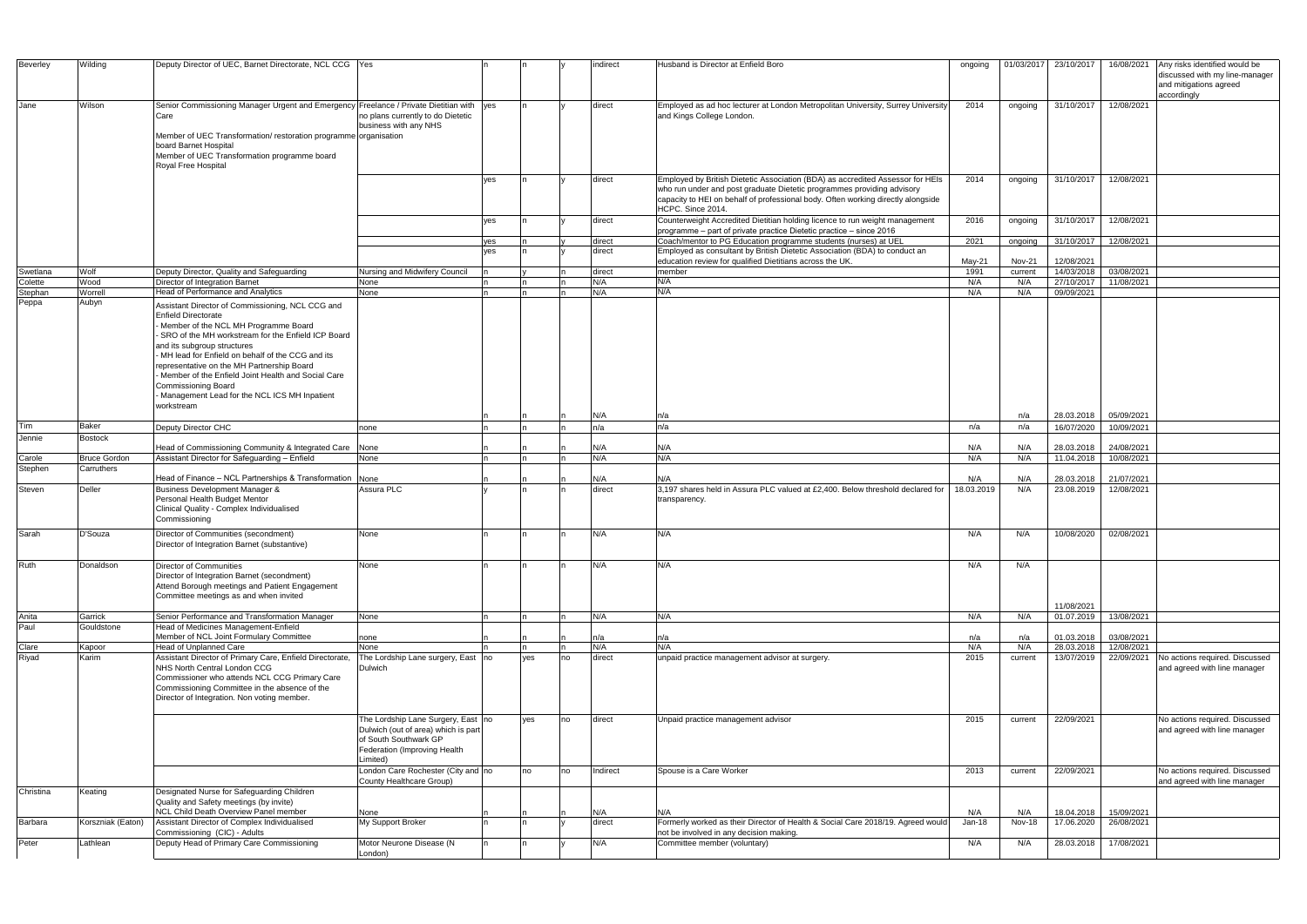| Beverley         | Wilding             | Deputy Director of UEC, Barnet Directorate, NCL CCG Yes                                                                                                                                                                                                                                                                                                                                                                                                                              |                                                                                                                                                |            |     |    | indirect         | Husband is Director at Enfield Boro                                                                                                                                                                                                                               | ongoing    | 01/03/2017    | 23/10/2017               | 16/08/2021               | Any risks identified would be                                           |
|------------------|---------------------|--------------------------------------------------------------------------------------------------------------------------------------------------------------------------------------------------------------------------------------------------------------------------------------------------------------------------------------------------------------------------------------------------------------------------------------------------------------------------------------|------------------------------------------------------------------------------------------------------------------------------------------------|------------|-----|----|------------------|-------------------------------------------------------------------------------------------------------------------------------------------------------------------------------------------------------------------------------------------------------------------|------------|---------------|--------------------------|--------------------------|-------------------------------------------------------------------------|
|                  |                     |                                                                                                                                                                                                                                                                                                                                                                                                                                                                                      |                                                                                                                                                |            |     |    |                  |                                                                                                                                                                                                                                                                   |            |               |                          |                          | discussed with my line-manager<br>and mitigations agreed<br>accordingly |
| Jane             | Wilson              | Senior Commissioning Manager Urgent and Emergency Freelance / Private Dietitian with yes<br>Care<br>Member of UEC Transformation/restoration programme organisation<br>board Barnet Hospital<br>Member of UEC Transformation programme board<br>Royal Free Hospital                                                                                                                                                                                                                  | no plans currently to do Dietetic<br>business with any NHS                                                                                     |            | In. |    | direct           | Employed as ad hoc lecturer at London Metropolitan University, Surrey University<br>and Kings College London.                                                                                                                                                     | 2014       | ongoing       | 31/10/2017               | 12/08/2021               |                                                                         |
|                  |                     |                                                                                                                                                                                                                                                                                                                                                                                                                                                                                      |                                                                                                                                                | yes        |     |    | direct           | Employed by British Dietetic Association (BDA) as accredited Assessor for HEIs<br>who run under and post graduate Dietetic programmes providing advisory<br>capacity to HEI on behalf of professional body. Often working directly alongside<br>HCPC. Since 2014. | 2014       | ongoing       | 31/10/2017               | 12/08/2021               |                                                                         |
|                  |                     |                                                                                                                                                                                                                                                                                                                                                                                                                                                                                      |                                                                                                                                                | ves        | In. |    | direct           | Counterweight Accredited Dietitian holding licence to run weight management<br>programme - part of private practice Dietetic practice - since 2016                                                                                                                | 2016       | ongoing       | 31/10/2017               | 12/08/2021               |                                                                         |
|                  |                     |                                                                                                                                                                                                                                                                                                                                                                                                                                                                                      |                                                                                                                                                | yes<br>ves |     |    | direct<br>direct | Coach/mentor to PG Education programme students (nurses) at UEL<br>Employed as consultant by British Dietetic Association (BDA) to conduct an                                                                                                                     | 2021       | ongoing       | 31/10/2017               | 12/08/2021               |                                                                         |
|                  |                     |                                                                                                                                                                                                                                                                                                                                                                                                                                                                                      |                                                                                                                                                |            |     |    |                  | education review for qualified Dietitians across the UK.                                                                                                                                                                                                          | May-21     | <b>Nov-21</b> | 12/08/2021               |                          |                                                                         |
| Swetlana         | Wolf                | Deputy Director, Quality and Safeguarding                                                                                                                                                                                                                                                                                                                                                                                                                                            | Nursing and Midwifery Council                                                                                                                  |            |     |    | direct           | member                                                                                                                                                                                                                                                            | 1991       | current       | 14/03/2018               | 03/08/2021               |                                                                         |
| Colette          | Wood                | Director of Integration Barnet                                                                                                                                                                                                                                                                                                                                                                                                                                                       | None                                                                                                                                           |            |     |    | N/A              | N/A<br>N/A                                                                                                                                                                                                                                                        | N/A        | N/A           | 27/10/2017               | 11/08/2021               |                                                                         |
| Stephan<br>Peppa | Worrell<br>Aubyn    | Head of Performance and Analytics<br>Assistant Director of Commissioning, NCL CCG and<br><b>Enfield Directorate</b><br>- Member of the NCL MH Programme Board<br>- SRO of the MH workstream for the Enfield ICP Board<br>and its subgroup structures<br>MH lead for Enfield on behalf of the CCG and its<br>epresentative on the MH Partnership Board<br>- Member of the Enfield Joint Health and Social Care<br>Commissioning Board<br>Management Lead for the NCL ICS MH Inpatient | None                                                                                                                                           |            |     |    | N/A              |                                                                                                                                                                                                                                                                   | N/A        | N/A           | 09/09/2021               |                          |                                                                         |
|                  |                     | workstream                                                                                                                                                                                                                                                                                                                                                                                                                                                                           |                                                                                                                                                |            |     |    |                  |                                                                                                                                                                                                                                                                   |            |               |                          | 05/09/2021               |                                                                         |
| Tim              | Baker               | Deputy Director CHC                                                                                                                                                                                                                                                                                                                                                                                                                                                                  | none                                                                                                                                           |            |     |    | N/A<br>n/a       | n/a<br>n/a                                                                                                                                                                                                                                                        | n/a        | n/a<br>n/a    | 28.03.2018<br>16/07/2020 | 10/09/2021               |                                                                         |
| Jennie           | <b>Bostock</b>      |                                                                                                                                                                                                                                                                                                                                                                                                                                                                                      |                                                                                                                                                |            |     |    |                  |                                                                                                                                                                                                                                                                   |            |               |                          |                          |                                                                         |
|                  |                     | Head of Commissioning Community & Integrated Care                                                                                                                                                                                                                                                                                                                                                                                                                                    | None                                                                                                                                           |            |     |    | N/A              | N/A                                                                                                                                                                                                                                                               | N/A        | N/A           | 28.03.2018               | 24/08/2021               |                                                                         |
| Carole           | <b>Bruce Gordon</b> | Assistant Director for Safeguarding - Enfield                                                                                                                                                                                                                                                                                                                                                                                                                                        | None                                                                                                                                           |            | In. |    | N/A              | N/A                                                                                                                                                                                                                                                               | N/A        | N/A           | 11.04.2018               | 10/08/2021               |                                                                         |
| Stephen          | Carruthers          | Head of Finance - NCL Partnerships & Transformation                                                                                                                                                                                                                                                                                                                                                                                                                                  | None                                                                                                                                           |            |     |    | N/A              | N/A                                                                                                                                                                                                                                                               | N/A        | N/A           | 28.03.2018               | 21/07/2021               |                                                                         |
| Steven           | Deller              | Business Development Manager &<br>Personal Health Budget Mentor<br>Clinical Quality - Complex Individualised<br>Commissioning                                                                                                                                                                                                                                                                                                                                                        | Assura PLC                                                                                                                                     |            |     |    | direct           | 3.197 shares held in Assura PLC valued at £2.400. Below threshold declared for<br>transparency.                                                                                                                                                                   | 18.03.2019 | N/A           | 23.08.2019               | 12/08/2021               |                                                                         |
| Sarah            | D'Souza             | Director of Communities (secondment)<br>Director of Integration Barnet (substantive)                                                                                                                                                                                                                                                                                                                                                                                                 | None                                                                                                                                           |            |     |    | N/A              | N/A                                                                                                                                                                                                                                                               | N/A        | N/A           | 10/08/2020               | 02/08/2021               |                                                                         |
| Ruth             | Donaldson           | Director of Communities<br>Director of Integration Barnet (secondment)<br>Attend Borough meetings and Patient Engagement<br>Committee meetings as and when invited                                                                                                                                                                                                                                                                                                                   | None                                                                                                                                           |            |     |    | N/A              | N/A                                                                                                                                                                                                                                                               | N/A        | N/A           | 11/08/2021               |                          |                                                                         |
| Anita<br>Paul    | Garrick             | Senior Performance and Transformation Manager                                                                                                                                                                                                                                                                                                                                                                                                                                        | None                                                                                                                                           |            | In. |    | N/A              | N/A                                                                                                                                                                                                                                                               | N/A        | N/A           | 01.07.2019               | 13/08/2021               |                                                                         |
|                  | Gouldstone          | Head of Medicines Management-Enfield                                                                                                                                                                                                                                                                                                                                                                                                                                                 |                                                                                                                                                |            |     |    |                  |                                                                                                                                                                                                                                                                   |            |               |                          |                          |                                                                         |
|                  | Kapoor              | Member of NCL Joint Formulary Committee<br>Head of Unplanned Care                                                                                                                                                                                                                                                                                                                                                                                                                    | none<br>None                                                                                                                                   |            |     |    | n/a<br>N/A       | n/a<br>N/A                                                                                                                                                                                                                                                        | n/a<br>N/A | n/a<br>N/A    | 01.03.2018<br>28.03.2018 | 03/08/2021<br>12/08/2021 |                                                                         |
| Clare<br>Riyad   | Karim               | Assistant Director of Primary Care, Enfield Directorate,<br>NHS North Central London CCG<br>Commissioner who attends NCL CCG Primary Care<br>Commissioning Committee in the absence of the<br>Director of Integration. Non voting member.                                                                                                                                                                                                                                            | The Lordship Lane surgery, East<br>Dulwich                                                                                                     | <b>no</b>  | yes | no | direct           | unpaid practice management advisor at surgery.                                                                                                                                                                                                                    | 2015       | current       | 13/07/2019               | 22/09/2021               | No actions required. Discussed<br>and agreed with line manager          |
|                  |                     |                                                                                                                                                                                                                                                                                                                                                                                                                                                                                      | The Lordship Lane Surgery, East no<br>Dulwich (out of area) which is part<br>of South Southwark GP<br>Federation (Improving Health<br>Limited) |            | yes | no | direct           | Unpaid practice management advisor                                                                                                                                                                                                                                | 2015       | current       | 22/09/2021               |                          | No actions required. Discussed<br>and agreed with line manager          |
|                  |                     |                                                                                                                                                                                                                                                                                                                                                                                                                                                                                      | London Care Rochester (City and no<br>County Healthcare Group)                                                                                 |            | no  | no | Indirect         | Spouse is a Care Worker                                                                                                                                                                                                                                           | 2013       | current       | 22/09/2021               |                          | No actions required. Discussed<br>and agreed with line manager          |
| Christina        | Keating             | Designated Nurse for Safeguarding Children<br>Quality and Safety meetings (by invite)                                                                                                                                                                                                                                                                                                                                                                                                |                                                                                                                                                |            |     |    |                  |                                                                                                                                                                                                                                                                   |            |               |                          |                          |                                                                         |
| Barbara          |                     | NCL Child Death Overview Panel member                                                                                                                                                                                                                                                                                                                                                                                                                                                | None<br>My Support Broker                                                                                                                      |            |     |    | N/A              | N/A                                                                                                                                                                                                                                                               | N/A        | N/A           | 18.04.2018               | 15/09/2021               |                                                                         |
|                  | Korszniak (Eaton)   | Assistant Director of Complex Individualised<br>Commissioning (CIC) - Adults                                                                                                                                                                                                                                                                                                                                                                                                         |                                                                                                                                                |            |     |    | direct           | Formerly worked as their Director of Health & Social Care 2018/19. Agreed would<br>not be involved in any decision making.                                                                                                                                        | Jan-18     | <b>Nov-18</b> | 17.06.2020               | 26/08/2021               |                                                                         |
| Peter            | Lathlean            | Deputy Head of Primary Care Commissioning                                                                                                                                                                                                                                                                                                                                                                                                                                            | Motor Neurone Disease (N<br>London)                                                                                                            |            |     |    | N/A              | Committee member (voluntary)                                                                                                                                                                                                                                      | N/A        | N/A           | 28.03.2018               | 17/08/2021               |                                                                         |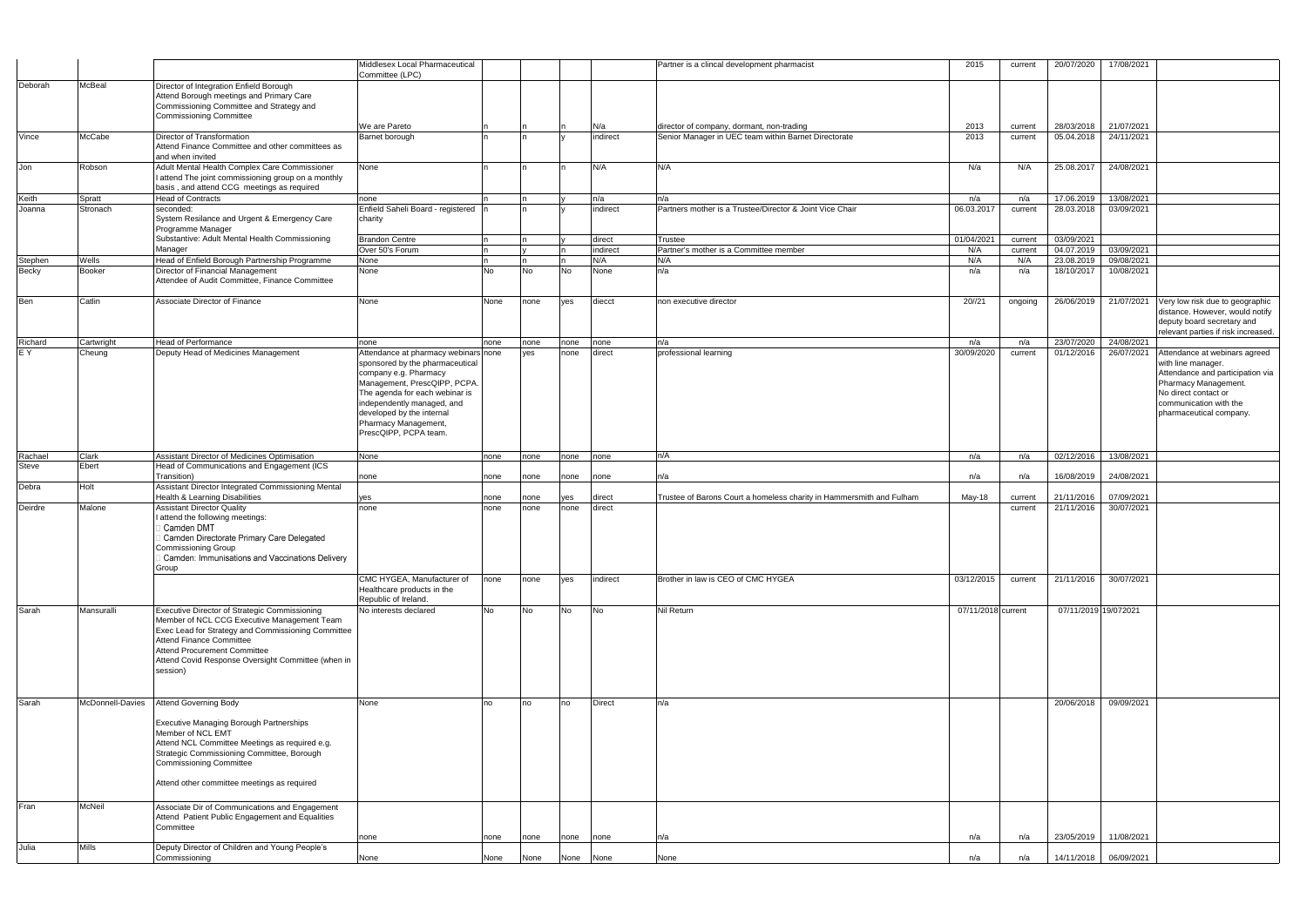|                  |                        |                                                                                                                                                                                                                                                                                                | Middlesex Local Pharmaceutical<br>Committee (LPC)                                                                                                                                                                                      |      |      |           |                 | Partner is a clincal development pharmacist                                                       | 2015               | current            | 20/07/2020               | 17/08/2021               |                                                                                                                                                             |
|------------------|------------------------|------------------------------------------------------------------------------------------------------------------------------------------------------------------------------------------------------------------------------------------------------------------------------------------------|----------------------------------------------------------------------------------------------------------------------------------------------------------------------------------------------------------------------------------------|------|------|-----------|-----------------|---------------------------------------------------------------------------------------------------|--------------------|--------------------|--------------------------|--------------------------|-------------------------------------------------------------------------------------------------------------------------------------------------------------|
| Deborah          | <b>McBeal</b>          | Director of Integration Enfield Borough                                                                                                                                                                                                                                                        |                                                                                                                                                                                                                                        |      |      |           |                 |                                                                                                   |                    |                    |                          |                          |                                                                                                                                                             |
|                  |                        | Attend Borough meetings and Primary Care                                                                                                                                                                                                                                                       |                                                                                                                                                                                                                                        |      |      |           |                 |                                                                                                   |                    |                    |                          |                          |                                                                                                                                                             |
|                  |                        | Commissioning Committee and Strategy and                                                                                                                                                                                                                                                       |                                                                                                                                                                                                                                        |      |      |           |                 |                                                                                                   |                    |                    |                          |                          |                                                                                                                                                             |
|                  |                        | <b>Commissioning Committee</b>                                                                                                                                                                                                                                                                 | We are Pareto                                                                                                                                                                                                                          |      |      |           |                 |                                                                                                   | 2013               |                    | 28/03/2018               | 21/07/2021               |                                                                                                                                                             |
| Vince            | McCabe                 | Director of Transformation                                                                                                                                                                                                                                                                     | Barnet borough                                                                                                                                                                                                                         |      |      |           | N/a<br>indirect | director of company, dormant, non-trading<br>Senior Manager in UEC team within Barnet Directorate | 2013               | current<br>current | 05.04.2018               | 24/11/2021               |                                                                                                                                                             |
|                  |                        | Attend Finance Committee and other committees as<br>and when invited                                                                                                                                                                                                                           |                                                                                                                                                                                                                                        |      |      |           |                 |                                                                                                   |                    |                    |                          |                          |                                                                                                                                                             |
| Jon              | Robson                 | Adult Mental Health Complex Care Commissioner                                                                                                                                                                                                                                                  | None                                                                                                                                                                                                                                   |      |      |           | N/A             | N/A                                                                                               | N/a                | N/A                | 25.08.2017               | 24/08/2021               |                                                                                                                                                             |
|                  |                        | I attend The joint commissioning group on a monthly<br>basis, and attend CCG meetings as required                                                                                                                                                                                              |                                                                                                                                                                                                                                        |      |      |           |                 |                                                                                                   |                    |                    |                          |                          |                                                                                                                                                             |
| Keith            | Spratt                 | <b>Head of Contracts</b>                                                                                                                                                                                                                                                                       | none                                                                                                                                                                                                                                   |      |      |           | n/a             | n/a                                                                                               | n/a                | n/a                | 17.06.2019               | 13/08/2021               |                                                                                                                                                             |
| Joanna           | Stronach               | seconded:<br>System Resilance and Urgent & Emergency Care<br>Programme Manager                                                                                                                                                                                                                 | Enfield Saheli Board - registered  n<br>charity                                                                                                                                                                                        |      |      |           | indirect        | Partners mother is a Trustee/Director & Joint Vice Chair                                          | 06.03.2017         | current            | 28.03.2018               | 03/09/2021               |                                                                                                                                                             |
|                  |                        | Substantive: Adult Mental Health Commissioning                                                                                                                                                                                                                                                 | <b>Brandon Centre</b>                                                                                                                                                                                                                  |      |      |           | direct          | Trustee                                                                                           | 01/04/2021         | current            | 03/09/2021               |                          |                                                                                                                                                             |
|                  |                        | Manager                                                                                                                                                                                                                                                                                        | Over 50's Forum                                                                                                                                                                                                                        |      |      |           | indirect        | Partner's mother is a Committee member                                                            | N/A                | current            | 04.07.2019               | 03/09/2021               |                                                                                                                                                             |
| Stephen<br>Becky | Wells<br><b>Booker</b> | Head of Enfield Borough Partnership Programme<br>Director of Financial Management                                                                                                                                                                                                              | None<br>None                                                                                                                                                                                                                           | No   | No   | <b>No</b> | N/A<br>None     | N/A<br>n/a                                                                                        | N/A<br>n/a         | N/A<br>n/a         | 23.08.2019<br>18/10/2017 | 09/08/2021<br>10/08/2021 |                                                                                                                                                             |
|                  |                        | Attendee of Audit Committee, Finance Committee                                                                                                                                                                                                                                                 |                                                                                                                                                                                                                                        |      |      |           |                 |                                                                                                   |                    |                    |                          |                          |                                                                                                                                                             |
| Ben              | Catlin                 | Associate Director of Finance                                                                                                                                                                                                                                                                  | None                                                                                                                                                                                                                                   | None | none | ves       | diecct          | non executive director                                                                            | 20//21             | ongoing            | 26/06/2019               | 21/07/2021               | Very low risk due to geographic<br>distance. However, would notify<br>deputy board secretary and<br>relevant parties if risk increased.                     |
| Richard          | Cartwright             | <b>Head of Performance</b>                                                                                                                                                                                                                                                                     | none                                                                                                                                                                                                                                   | none | none | none      | none            | n/a                                                                                               | n/a                | n/a                | 23/07/2020               | 24/08/2021               |                                                                                                                                                             |
| E Y              | Cheung                 | Deputy Head of Medicines Management                                                                                                                                                                                                                                                            | Attendance at pharmacy webinars none                                                                                                                                                                                                   |      | ves  | none      | direct          | professional learning                                                                             | 30/09/2020         | current            | 01/12/2016               | 26/07/2021               | Attendance at webinars agreed                                                                                                                               |
|                  |                        |                                                                                                                                                                                                                                                                                                | sponsored by the pharmaceutical<br>company e.g. Pharmacy<br>Management, PrescQIPP, PCPA.<br>The agenda for each webinar is<br>independently managed, and<br>developed by the internal<br>Pharmacy Management,<br>PrescQIPP, PCPA team. |      |      |           |                 |                                                                                                   |                    |                    |                          |                          | with line manager.<br>Attendance and participation via<br>Pharmacy Management.<br>No direct contact or<br>communication with the<br>pharmaceutical company. |
| Rachael          | Clark                  | Assistant Director of Medicines Optimisation                                                                                                                                                                                                                                                   | None                                                                                                                                                                                                                                   | none | none | none      | none            | n/A                                                                                               | n/a                | n/a                | 02/12/2016               | 13/08/2021               |                                                                                                                                                             |
| <b>Steve</b>     | Ebert                  | Head of Communications and Engagement (ICS                                                                                                                                                                                                                                                     |                                                                                                                                                                                                                                        |      |      |           |                 |                                                                                                   |                    |                    |                          |                          |                                                                                                                                                             |
| Debra            | Holt                   | Transition)<br>Assistant Director Integrated Commissioning Mental                                                                                                                                                                                                                              | none                                                                                                                                                                                                                                   | none | none | none      | none            | n/a                                                                                               | n/a                | n/a                | 16/08/2019               | 24/08/2021               |                                                                                                                                                             |
|                  |                        | <b>Health &amp; Learning Disabilities</b>                                                                                                                                                                                                                                                      | yes                                                                                                                                                                                                                                    | none | none | ves       | direct          | Trustee of Barons Court a homeless charity in Hammersmith and Fulham                              | May-18             | current            | 21/11/2016               | 07/09/2021               |                                                                                                                                                             |
| Deirdre          | Malone                 | <b>Assistant Director Quality</b><br>attend the following meetings:<br>Camden DMT<br>Camden Directorate Primary Care Delegated<br>Commissioning Group                                                                                                                                          | none                                                                                                                                                                                                                                   | none | none | none      | direct          |                                                                                                   |                    | current            | 21/11/2016               | 30/07/2021               |                                                                                                                                                             |
|                  |                        | Camden: Immunisations and Vaccinations Delivery<br>Group                                                                                                                                                                                                                                       |                                                                                                                                                                                                                                        |      |      |           |                 |                                                                                                   |                    |                    |                          |                          |                                                                                                                                                             |
|                  |                        |                                                                                                                                                                                                                                                                                                | CMC HYGEA, Manufacturer of<br>Healthcare products in the<br>Republic of Ireland.                                                                                                                                                       | none | none | ves       | indirect        | Brother in law is CEO of CMC HYGEA                                                                | 03/12/2015         | current            |                          | 21/11/2016 30/07/2021    |                                                                                                                                                             |
| Sarah            | Mansuralli             | Executive Director of Strategic Commissioning<br>Member of NCL CCG Executive Management Team<br>Exec Lead for Strategy and Commissioning Committee<br><b>Attend Finance Committee</b><br><b>Attend Procurement Committee</b><br>Attend Covid Response Oversight Committee (when in<br>session) | No interests declared                                                                                                                                                                                                                  | No   | No   | <b>No</b> | <b>No</b>       | Nil Return                                                                                        | 07/11/2018 current |                    |                          | 07/11/2019 19/072021     |                                                                                                                                                             |
| Sarah            | McDonnell-Davies       | Attend Governing Body                                                                                                                                                                                                                                                                          | None                                                                                                                                                                                                                                   | no   | no   | no        | <b>Direct</b>   | n/a                                                                                               |                    |                    | 20/06/2018               | 09/09/2021               |                                                                                                                                                             |
|                  |                        | <b>Executive Managing Borough Partnerships</b><br>Member of NCL EMT<br>Attend NCL Committee Meetings as required e.g.<br>Strategic Commissioning Committee, Borough<br><b>Commissioning Committee</b><br>Attend other committee meetings as required                                           |                                                                                                                                                                                                                                        |      |      |           |                 |                                                                                                   |                    |                    |                          |                          |                                                                                                                                                             |
| Fran             | McNeil                 | Associate Dir of Communications and Engagement<br>Attend Patient Public Engagement and Equalities<br>Committee                                                                                                                                                                                 |                                                                                                                                                                                                                                        |      |      |           |                 |                                                                                                   |                    |                    |                          |                          |                                                                                                                                                             |
|                  |                        |                                                                                                                                                                                                                                                                                                | none                                                                                                                                                                                                                                   | none | none | none      | none            | n/a                                                                                               | n/a                | n/a                | 23/05/2019               | 11/08/2021               |                                                                                                                                                             |
| Julia            | Mills                  | Deputy Director of Children and Young People's<br>Commissioning                                                                                                                                                                                                                                | None                                                                                                                                                                                                                                   | None | None |           | None None       | None                                                                                              | n/a                | n/a                |                          | 14/11/2018 06/09/2021    |                                                                                                                                                             |
|                  |                        |                                                                                                                                                                                                                                                                                                |                                                                                                                                                                                                                                        |      |      |           |                 |                                                                                                   |                    |                    |                          |                          |                                                                                                                                                             |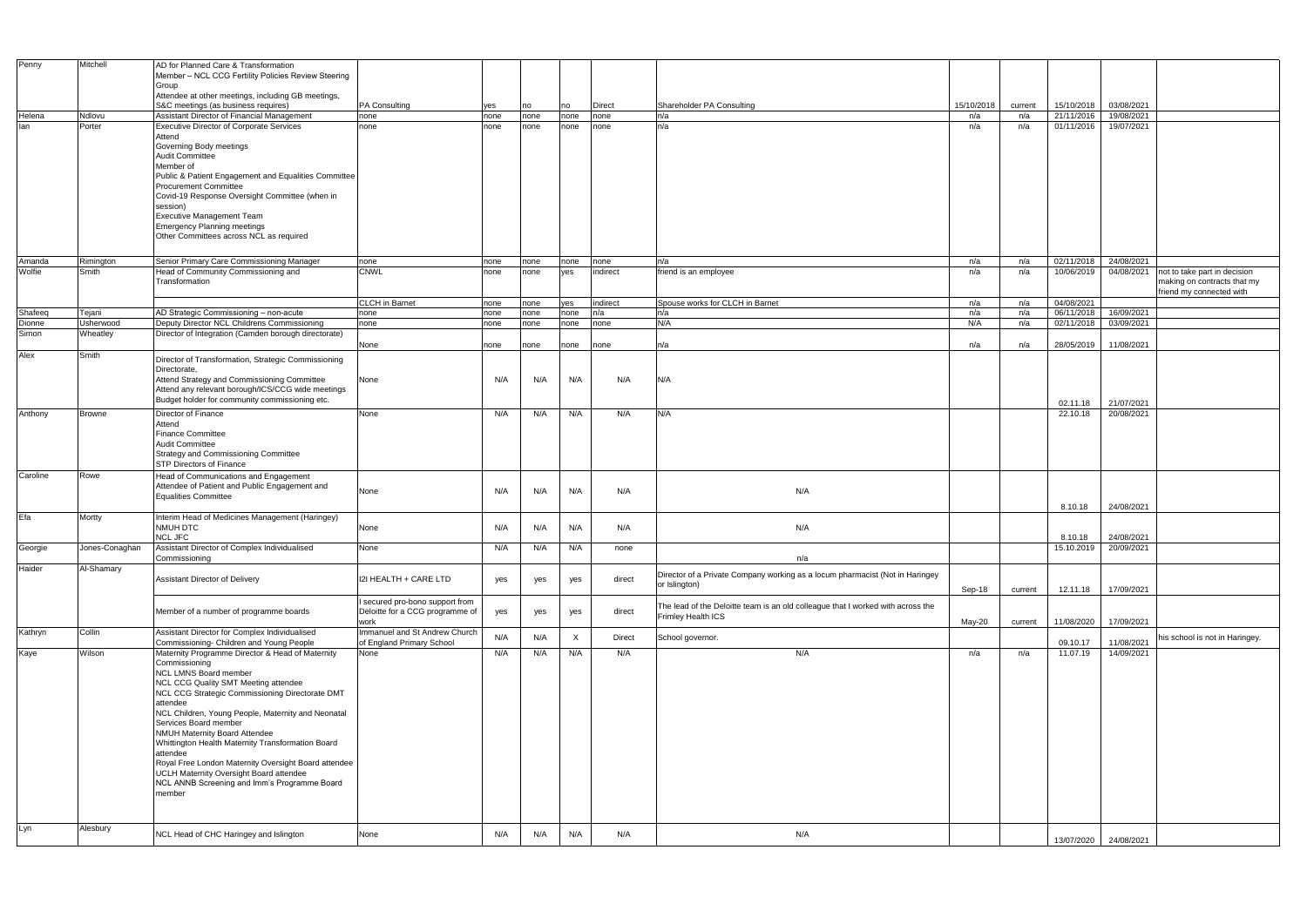| Penny    | Mitchell       | AD for Planned Care & Transformation                                                                |                                                                  |      |      |              |               |                                                                                 |            |         |            |                       |                                |
|----------|----------------|-----------------------------------------------------------------------------------------------------|------------------------------------------------------------------|------|------|--------------|---------------|---------------------------------------------------------------------------------|------------|---------|------------|-----------------------|--------------------------------|
|          |                | Member - NCL CCG Fertility Policies Review Steering                                                 |                                                                  |      |      |              |               |                                                                                 |            |         |            |                       |                                |
|          |                | Group                                                                                               |                                                                  |      |      |              |               |                                                                                 |            |         |            |                       |                                |
|          |                | Attendee at other meetings, including GB meetings,                                                  |                                                                  |      |      |              |               |                                                                                 |            |         |            |                       |                                |
|          |                | S&C meetings (as business requires)                                                                 | <b>PA Consulting</b>                                             | yes  | no   | no           | <b>Direct</b> | Shareholder PA Consulting                                                       | 15/10/2018 | current | 15/10/2018 | 03/08/2021            |                                |
| Helena   | Ndlovu         | Assistant Director of Financial Management                                                          | none                                                             | none | none | none         | none          | n/a                                                                             | n/a        | n/a     | 21/11/2016 | 19/08/2021            |                                |
| lan      | Porter         | <b>Executive Director of Corporate Services</b>                                                     | none                                                             | none | none | none         | none          | n/a                                                                             | n/a        | n/a     | 01/11/2016 | 19/07/2021            |                                |
|          |                | Attend                                                                                              |                                                                  |      |      |              |               |                                                                                 |            |         |            |                       |                                |
|          |                | Governing Body meetings<br><b>Audit Committee</b>                                                   |                                                                  |      |      |              |               |                                                                                 |            |         |            |                       |                                |
|          |                | Member of                                                                                           |                                                                  |      |      |              |               |                                                                                 |            |         |            |                       |                                |
|          |                | Public & Patient Engagement and Equalities Committee                                                |                                                                  |      |      |              |               |                                                                                 |            |         |            |                       |                                |
|          |                | <b>Procurement Committee</b>                                                                        |                                                                  |      |      |              |               |                                                                                 |            |         |            |                       |                                |
|          |                | Covid-19 Response Oversight Committee (when in                                                      |                                                                  |      |      |              |               |                                                                                 |            |         |            |                       |                                |
|          |                | session)                                                                                            |                                                                  |      |      |              |               |                                                                                 |            |         |            |                       |                                |
|          |                | <b>Executive Management Team</b>                                                                    |                                                                  |      |      |              |               |                                                                                 |            |         |            |                       |                                |
|          |                | <b>Emergency Planning meetings</b>                                                                  |                                                                  |      |      |              |               |                                                                                 |            |         |            |                       |                                |
|          |                | Other Committees across NCL as required                                                             |                                                                  |      |      |              |               |                                                                                 |            |         |            |                       |                                |
|          |                |                                                                                                     |                                                                  |      |      |              |               |                                                                                 |            |         |            |                       |                                |
| Amanda   | Rimington      | Senior Primary Care Commissioning Manager                                                           | none                                                             | none | none | none         | none          | n/a                                                                             | n/a        | n/a     | 02/11/2018 | 24/08/2021            |                                |
| Wolfie   | Smith          | Head of Community Commissioning and                                                                 | <b>CNWL</b>                                                      | none | none | ves          | indirect      | friend is an employee                                                           | n/a        | n/a     | 10/06/2019 | 04/08/2021            | not to take part in decision   |
|          |                | Transformation                                                                                      |                                                                  |      |      |              |               |                                                                                 |            |         |            |                       | making on contracts that my    |
|          |                |                                                                                                     |                                                                  |      |      |              |               |                                                                                 |            |         |            |                       | friend my connected with       |
|          |                |                                                                                                     | <b>CLCH</b> in Barnet                                            | none | none | yes          | indirect      | Spouse works for CLCH in Barnet                                                 | n/a        | n/a     | 04/08/2021 |                       |                                |
| Shafeeq  | Tejani         | AD Strategic Commissioning - non-acute                                                              | none                                                             | none | none | none         | n/a           | n/a                                                                             | n/a        | n/a     | 06/11/2018 | 16/09/2021            |                                |
| Dionne   | Usherwood      | Deputy Director NCL Childrens Commissioning                                                         | none                                                             | none | none | none         | none          | N/A                                                                             | N/A        | n/a     | 02/11/2018 | 03/09/2021            |                                |
| Simon    | Wheatley       | Director of Integration (Camden borough directorate)                                                |                                                                  |      |      |              |               |                                                                                 |            |         | 28/05/2019 |                       |                                |
| Alex     | Smith          |                                                                                                     | None                                                             | none | none | none         | none          | n/a                                                                             | n/a        | n/a     |            | 11/08/2021            |                                |
|          |                | Director of Transformation, Strategic Commissioning                                                 |                                                                  |      |      |              |               |                                                                                 |            |         |            |                       |                                |
|          |                | Directorate,                                                                                        |                                                                  |      |      |              |               |                                                                                 |            |         |            |                       |                                |
|          |                | Attend Strategy and Commissioning Committee                                                         | None                                                             | N/A  | N/A  | N/A          | N/A           | N/A                                                                             |            |         |            |                       |                                |
|          |                | Attend any relevant borough/ICS/CCG wide meetings<br>Budget holder for community commissioning etc. |                                                                  |      |      |              |               |                                                                                 |            |         |            |                       |                                |
|          |                |                                                                                                     |                                                                  |      |      |              |               |                                                                                 |            |         | 02.11.18   | 21/07/2021            |                                |
| Anthony  | <b>Browne</b>  | Director of Finance                                                                                 | None                                                             | N/A  | N/A  | N/A          | N/A           | N/A                                                                             |            |         | 22.10.18   | 20/08/2021            |                                |
|          |                | Attend<br><b>Finance Committee</b>                                                                  |                                                                  |      |      |              |               |                                                                                 |            |         |            |                       |                                |
|          |                | <b>Audit Committee</b>                                                                              |                                                                  |      |      |              |               |                                                                                 |            |         |            |                       |                                |
|          |                | <b>Strategy and Commissioning Committee</b>                                                         |                                                                  |      |      |              |               |                                                                                 |            |         |            |                       |                                |
|          |                | STP Directors of Finance                                                                            |                                                                  |      |      |              |               |                                                                                 |            |         |            |                       |                                |
| Caroline | Rowe           | Head of Communications and Engagement                                                               |                                                                  |      |      |              |               |                                                                                 |            |         |            |                       |                                |
|          |                | Attendee of Patient and Public Engagement and                                                       |                                                                  |      |      |              |               |                                                                                 |            |         |            |                       |                                |
|          |                | Equalities Committee                                                                                | None                                                             | N/A  | N/A  | N/A          | N/A           | N/A                                                                             |            |         |            |                       |                                |
|          |                |                                                                                                     |                                                                  |      |      |              |               |                                                                                 |            |         | 8.10.18    | 24/08/2021            |                                |
| Efa      | Mortty         | Interim Head of Medicines Management (Haringey)                                                     |                                                                  |      |      |              |               |                                                                                 |            |         |            |                       |                                |
|          |                | NMUH DTC                                                                                            | None                                                             | N/A  | N/A  | N/A          | N/A           | N/A                                                                             |            |         |            |                       |                                |
|          |                | <b>NCL JFC</b>                                                                                      |                                                                  |      |      |              |               |                                                                                 |            |         | 8.10.18    | 24/08/2021            |                                |
| Georgie  | Jones-Conaghan | Assistant Director of Complex Individualised                                                        | None                                                             | N/A  | N/A  | N/A          | none          |                                                                                 |            |         |            | 15.10.2019 20/09/2021 |                                |
|          |                | Commissioning                                                                                       |                                                                  |      |      |              |               | n/a                                                                             |            |         |            |                       |                                |
| Haider   | Al-Shamary     |                                                                                                     |                                                                  |      |      |              |               | Director of a Private Company working as a locum pharmacist (Not in Haringey    |            |         |            |                       |                                |
|          |                | Assistant Director of Delivery                                                                      | I2I HEALTH + CARE LTD                                            | yes  | yes  | yes          | direct        | or Islington)                                                                   |            |         |            |                       |                                |
|          |                |                                                                                                     |                                                                  |      |      |              |               |                                                                                 | Sep-18     | current | 12.11.18   | 17/09/2021            |                                |
|          |                | Member of a number of programme boards                                                              | secured pro-bono support from<br>Deloitte for a CCG programme of | yes  | yes  | yes          | direct        | The lead of the Deloitte team is an old colleague that I worked with across the |            |         |            |                       |                                |
|          |                |                                                                                                     | work                                                             |      |      |              |               | Frimley Health ICS                                                              | May-20     | current | 11/08/2020 | 17/09/2021            |                                |
| Kathryn  | Collin         | Assistant Director for Complex Individualised                                                       | Immanuel and St Andrew Church                                    |      |      |              |               |                                                                                 |            |         |            |                       |                                |
|          |                | Commissioning- Children and Young People                                                            | of England Primary School                                        | N/A  | N/A  | $\mathsf{X}$ | Direct        | School governor.                                                                |            |         | 09.10.17   | 11/08/2021            | his school is not in Haringey. |
| Kaye     | Wilson         | Maternity Programme Director & Head of Maternity                                                    | None                                                             | N/A  | N/A  | N/A          | N/A           | N/A                                                                             | n/a        | n/a     | 11.07.19   | 14/09/2021            |                                |
|          |                | Commissioning                                                                                       |                                                                  |      |      |              |               |                                                                                 |            |         |            |                       |                                |
|          |                | NCL LMNS Board member                                                                               |                                                                  |      |      |              |               |                                                                                 |            |         |            |                       |                                |
|          |                | NCL CCG Quality SMT Meeting attendee                                                                |                                                                  |      |      |              |               |                                                                                 |            |         |            |                       |                                |
|          |                | NCL CCG Strategic Commissioning Directorate DMT                                                     |                                                                  |      |      |              |               |                                                                                 |            |         |            |                       |                                |
|          |                | attendee                                                                                            |                                                                  |      |      |              |               |                                                                                 |            |         |            |                       |                                |
|          |                | NCL Children, Young People, Maternity and Neonatal<br>Services Board member                         |                                                                  |      |      |              |               |                                                                                 |            |         |            |                       |                                |
|          |                | NMUH Maternity Board Attendee                                                                       |                                                                  |      |      |              |               |                                                                                 |            |         |            |                       |                                |
|          |                | Whittington Health Maternity Transformation Board                                                   |                                                                  |      |      |              |               |                                                                                 |            |         |            |                       |                                |
|          |                | attendee                                                                                            |                                                                  |      |      |              |               |                                                                                 |            |         |            |                       |                                |
|          |                | Royal Free London Maternity Oversight Board attendee                                                |                                                                  |      |      |              |               |                                                                                 |            |         |            |                       |                                |
|          |                | <b>UCLH Maternity Oversight Board attendee</b>                                                      |                                                                  |      |      |              |               |                                                                                 |            |         |            |                       |                                |
|          |                | NCL ANNB Screening and Imm's Programme Board                                                        |                                                                  |      |      |              |               |                                                                                 |            |         |            |                       |                                |
|          |                | member                                                                                              |                                                                  |      |      |              |               |                                                                                 |            |         |            |                       |                                |
|          |                |                                                                                                     |                                                                  |      |      |              |               |                                                                                 |            |         |            |                       |                                |
|          |                |                                                                                                     |                                                                  |      |      |              |               |                                                                                 |            |         |            |                       |                                |
| Lyn      | Alesbury       | NCL Head of CHC Haringey and Islington                                                              | None                                                             | N/A  | N/A  | N/A          | N/A           | N/A                                                                             |            |         |            |                       |                                |
|          |                |                                                                                                     |                                                                  |      |      |              |               |                                                                                 |            |         |            | 13/07/2020 24/08/2021 |                                |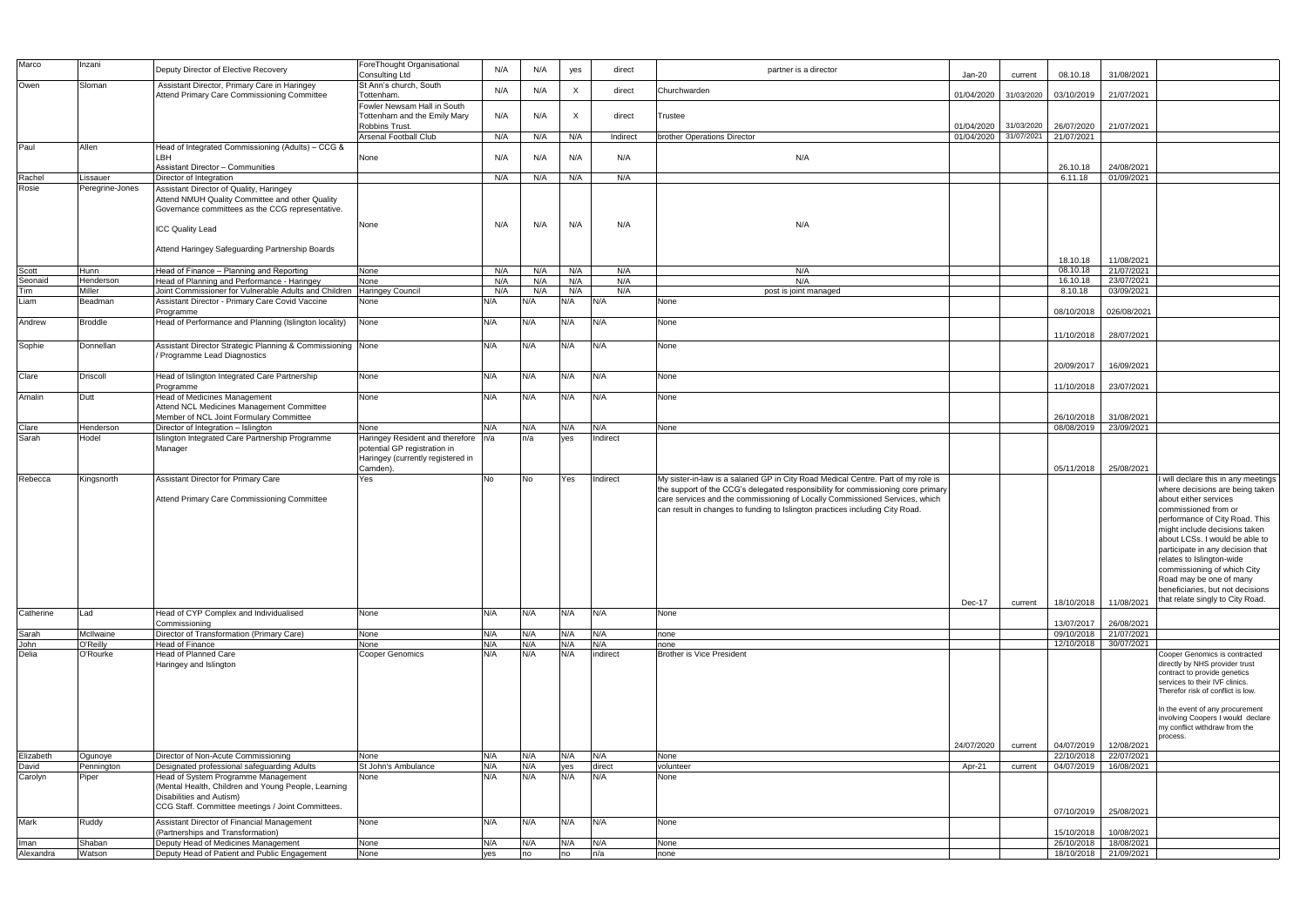| Marco              | Inzani                | Deputy Director of Elective Recovery                                               | ForeThought Organisational<br><b>Consulting Ltd</b> | N/A        | N/A        | yes                       | direct        | partner is a director                                                             | $Jan-20$   | current    | 08.10.18                 | 31/08/2021               |                                                                     |
|--------------------|-----------------------|------------------------------------------------------------------------------------|-----------------------------------------------------|------------|------------|---------------------------|---------------|-----------------------------------------------------------------------------------|------------|------------|--------------------------|--------------------------|---------------------------------------------------------------------|
| Owen               | Sloman                | Assistant Director, Primary Care in Haringey                                       | St Ann's church, South                              |            |            |                           |               |                                                                                   |            |            |                          |                          |                                                                     |
|                    |                       | Attend Primary Care Commissioning Committee                                        | Tottenham.                                          | N/A        | N/A        | $\boldsymbol{\mathsf{X}}$ | direct        | Churchwarden                                                                      | 01/04/2020 | 31/03/2020 | 03/10/2019               | 21/07/2021               |                                                                     |
|                    |                       |                                                                                    | Fowler Newsam Hall in South                         |            |            |                           |               |                                                                                   |            |            |                          |                          |                                                                     |
|                    |                       |                                                                                    | Tottenham and the Emily Mary<br>Robbins Trust.      | N/A        | N/A        | $\mathsf{X}$              | direct        | <b>Trustee</b>                                                                    | 01/04/2020 | 31/03/2020 | 26/07/2020               | 21/07/2021               |                                                                     |
|                    |                       |                                                                                    | Arsenal Football Club                               | N/A        | N/A        | N/A                       | Indirect      | brother Operations Director                                                       | 01/04/2020 | 31/07/2021 | 21/07/2021               |                          |                                                                     |
| Paul               | Allen                 | Head of Integrated Commissioning (Adults) - CCG &                                  |                                                     |            |            |                           |               |                                                                                   |            |            |                          |                          |                                                                     |
|                    |                       | LBH<br><b>Assistant Director - Communities</b>                                     | None                                                | N/A        | N/A        | N/A                       | N/A           | N/A                                                                               |            |            | 26.10.18                 | 24/08/2021               |                                                                     |
| Rachel             | Lissauer              | Director of Integration                                                            |                                                     | N/A        | N/A        | N/A                       | N/A           |                                                                                   |            |            | 6.11.18                  | 01/09/2021               |                                                                     |
| Rosie              | Peregrine-Jones       | Assistant Director of Quality, Haringey                                            |                                                     |            |            |                           |               |                                                                                   |            |            |                          |                          |                                                                     |
|                    |                       | Attend NMUH Quality Committee and other Quality                                    |                                                     |            |            |                           |               |                                                                                   |            |            |                          |                          |                                                                     |
|                    |                       | Governance committees as the CCG representative.                                   |                                                     |            |            |                           |               |                                                                                   |            |            |                          |                          |                                                                     |
|                    |                       | <b>ICC Quality Lead</b>                                                            | None                                                | N/A        | N/A        | N/A                       | N/A           | N/A                                                                               |            |            |                          |                          |                                                                     |
|                    |                       |                                                                                    |                                                     |            |            |                           |               |                                                                                   |            |            |                          |                          |                                                                     |
|                    |                       | Attend Haringey Safeguarding Partnership Boards                                    |                                                     |            |            |                           |               |                                                                                   |            |            |                          |                          |                                                                     |
| Scott              | <b>Hunn</b>           | Head of Finance - Planning and Reporting                                           | None                                                | N/A        | N/A        | N/A                       | N/A           | N/A                                                                               |            |            | 18.10.18<br>08.10.18     | 11/08/2021<br>21/07/2021 |                                                                     |
| Seonaid            | Henderson             | Head of Planning and Performance - Haringey                                        | None                                                | N/A        | N/A        | N/A                       | N/A           | N/A                                                                               |            |            | 16.10.18                 | 23/07/2021               |                                                                     |
| Tim                | Miller                | Joint Commissioner for Vulnerable Adults and Children                              | <b>Haringey Council</b>                             | N/A        | N/A        | N/A                       | N/A           | post is joint managed                                                             |            |            | 8.10.18                  | 03/09/2021               |                                                                     |
| Liam               | Beadman               | Assistant Director - Primary Care Covid Vaccine                                    | None                                                | N/A        | N/A        | N/A                       | N/A           | None                                                                              |            |            |                          |                          |                                                                     |
| Andrew             | <b>Broddle</b>        | Programme<br>Head of Performance and Planning (Islington locality)                 | None                                                | N/A        | N/A        | N/A                       | N/A           | None                                                                              |            |            | 08/10/2018               | 026/08/2021              |                                                                     |
|                    |                       |                                                                                    |                                                     |            |            |                           |               |                                                                                   |            |            | 11/10/2018               | 28/07/2021               |                                                                     |
| Sophie             | Donnellan             | Assistant Director Strategic Planning & Commissioning None                         |                                                     | N/A        | N/A        | N/A                       | N/A           | None                                                                              |            |            |                          |                          |                                                                     |
|                    |                       | / Programme Lead Diagnostics                                                       |                                                     |            |            |                           |               |                                                                                   |            |            |                          |                          |                                                                     |
|                    | Driscoll              | Head of Islington Integrated Care Partnership                                      | None                                                | N/A        | N/A        | N/A                       | N/A           | None                                                                              |            |            | 20/09/2017               | 16/09/2021               |                                                                     |
| Clare              |                       | Programme                                                                          |                                                     |            |            |                           |               |                                                                                   |            |            | 11/10/2018               | 23/07/2021               |                                                                     |
| Amalin             | Dutt                  | Head of Medicines Management                                                       | None                                                | N/A        | N/A        | N/A                       | N/A           | None                                                                              |            |            |                          |                          |                                                                     |
|                    |                       | Attend NCL Medicines Management Committee                                          |                                                     |            |            |                           |               |                                                                                   |            |            |                          |                          |                                                                     |
| Clare              | Henderson             | Member of NCL Joint Formulary Committee<br>Director of Integration - Islington     | None                                                | N/A        | N/A        | N/A                       | N/A           | None                                                                              |            |            | 26/10/2018<br>08/08/2019 | 31/08/2021<br>23/09/2021 |                                                                     |
| Sarah              | Hodel                 | Islington Integrated Care Partnership Programme                                    | Haringey Resident and therefore n/a                 |            | n/a        | ves                       | Indirect      |                                                                                   |            |            |                          |                          |                                                                     |
|                    |                       | Manager                                                                            | potential GP registration in                        |            |            |                           |               |                                                                                   |            |            |                          |                          |                                                                     |
|                    |                       |                                                                                    | Haringey (currently registered in                   |            |            |                           |               |                                                                                   |            |            |                          |                          |                                                                     |
| Rebecca            | Kingsnorth            | <b>Assistant Director for Primary Care</b>                                         | Camden).<br>Yes                                     | No         | No         | Yes                       | Indirect      | My sister-in-law is a salaried GP in City Road Medical Centre. Part of my role is |            |            |                          | 05/11/2018 25/08/2021    | I will declare this in any meetings                                 |
|                    |                       |                                                                                    |                                                     |            |            |                           |               | the support of the CCG's delegated responsibility for commissioning core primary  |            |            |                          |                          | where decisions are being taken                                     |
|                    |                       | Attend Primary Care Commissioning Committee                                        |                                                     |            |            |                           |               | care services and the commissioning of Locally Commissioned Services, which       |            |            |                          |                          | about either services                                               |
|                    |                       |                                                                                    |                                                     |            |            |                           |               | can result in changes to funding to Islington practices including City Road.      |            |            |                          |                          | commissioned from or<br>performance of City Road. This              |
|                    |                       |                                                                                    |                                                     |            |            |                           |               |                                                                                   |            |            |                          |                          | might include decisions taken                                       |
|                    |                       |                                                                                    |                                                     |            |            |                           |               |                                                                                   |            |            |                          |                          | about LCSs. I would be able to                                      |
|                    |                       |                                                                                    |                                                     |            |            |                           |               |                                                                                   |            |            |                          |                          | participate in any decision that                                    |
|                    |                       |                                                                                    |                                                     |            |            |                           |               |                                                                                   |            |            |                          |                          | relates to Islington-wide<br>commissioning of which City            |
|                    |                       |                                                                                    |                                                     |            |            |                           |               |                                                                                   |            |            |                          |                          | Road may be one of many                                             |
|                    |                       |                                                                                    |                                                     |            |            |                           |               |                                                                                   |            |            |                          |                          | beneficiaries, but not decisions                                    |
|                    |                       |                                                                                    |                                                     |            |            |                           |               |                                                                                   | Dec-17     | current    | 18/10/2018               | 11/08/2021               | that relate singly to City Road.                                    |
| Catherine          | Lad                   | Head of CYP Complex and Individualised<br>Commissioning                            | None                                                | N/A        | N/A        | N/A                       | N/A           | None                                                                              |            |            | 13/07/2017               | 26/08/2021               |                                                                     |
| Sarah              | McIlwaine             | Director of Transformation (Primary Care)                                          | None                                                | N/A        | N/A        | N/A                       | N/A           | none                                                                              |            |            | 09/10/2018               | 21/07/2021               |                                                                     |
| John               | O'Reilly              | Head of Finance                                                                    | None                                                | N/A        | N/A        | N/A                       | N/A           | none                                                                              |            |            | 12/10/2018               | 30/07/2021               |                                                                     |
| Delia              | O'Rourke              | <b>Head of Planned Care</b>                                                        | <b>Cooper Genomics</b>                              | N/A        | N/A        | N/A                       | indirect      | Brother is Vice President                                                         |            |            |                          |                          | Cooper Genomics is contracted<br>directly by NHS provider trust     |
|                    |                       | Haringey and Islington                                                             |                                                     |            |            |                           |               |                                                                                   |            |            |                          |                          | contract to provide genetics                                        |
|                    |                       |                                                                                    |                                                     |            |            |                           |               |                                                                                   |            |            |                          |                          | services to their IVF clinics.<br>Therefor risk of conflict is low. |
|                    |                       |                                                                                    |                                                     |            |            |                           |               |                                                                                   |            |            |                          |                          |                                                                     |
|                    |                       |                                                                                    |                                                     |            |            |                           |               |                                                                                   |            |            |                          |                          | In the event of any procurement                                     |
|                    |                       |                                                                                    |                                                     |            |            |                           |               |                                                                                   |            |            |                          |                          | involving Coopers I would declare<br>my conflict withdraw from the  |
|                    |                       |                                                                                    |                                                     |            |            |                           |               |                                                                                   |            |            |                          |                          | process.                                                            |
|                    |                       |                                                                                    |                                                     |            |            |                           |               |                                                                                   | 24/07/2020 | current    | 04/07/2019<br>22/10/2018 | 12/08/2021<br>22/07/2021 |                                                                     |
| Elizabeth<br>David | Ogunoye<br>Pennington | Director of Non-Acute Commissioning<br>Designated professional safeguarding Adults | None<br>St John's Ambulance                         | N/A<br>N/A | N/A<br>N/A | N/A<br>yes                | N/A<br>direct | None<br>volunteer                                                                 | Apr-21     | current    | 04/07/2019               | 16/08/2021               |                                                                     |
| Carolyn            | Piper                 | Head of System Programme Management                                                | None                                                | N/A        | N/A        | N/A                       | N/A           | None                                                                              |            |            |                          |                          |                                                                     |
|                    |                       | (Mental Health, Children and Young People, Learning                                |                                                     |            |            |                           |               |                                                                                   |            |            |                          |                          |                                                                     |
|                    |                       | Disabilities and Autism)<br>CCG Staff. Committee meetings / Joint Committees.      |                                                     |            |            |                           |               |                                                                                   |            |            |                          |                          |                                                                     |
|                    |                       |                                                                                    |                                                     |            |            |                           |               |                                                                                   |            |            |                          | 07/10/2019 25/08/2021    |                                                                     |
| Mark               | Ruddy                 | Assistant Director of Financial Management<br>(Partnerships and Transformation)    | None                                                | N/A        | N/A        | N/A                       | N/A           | None                                                                              |            |            | 15/10/2018               | 10/08/2021               |                                                                     |
| Iman               | Shaban                | Deputy Head of Medicines Management                                                | None                                                | N/A        | N/A        | N/A                       | N/A           | None                                                                              |            |            | 26/10/2018               | 18/08/2021               |                                                                     |
| Alexandra          | Watson                | Deputy Head of Patient and Public Engagement                                       | None                                                | ves        | no         | no                        | n/a           | none                                                                              |            |            | 18/10/2018               | 21/09/2021               |                                                                     |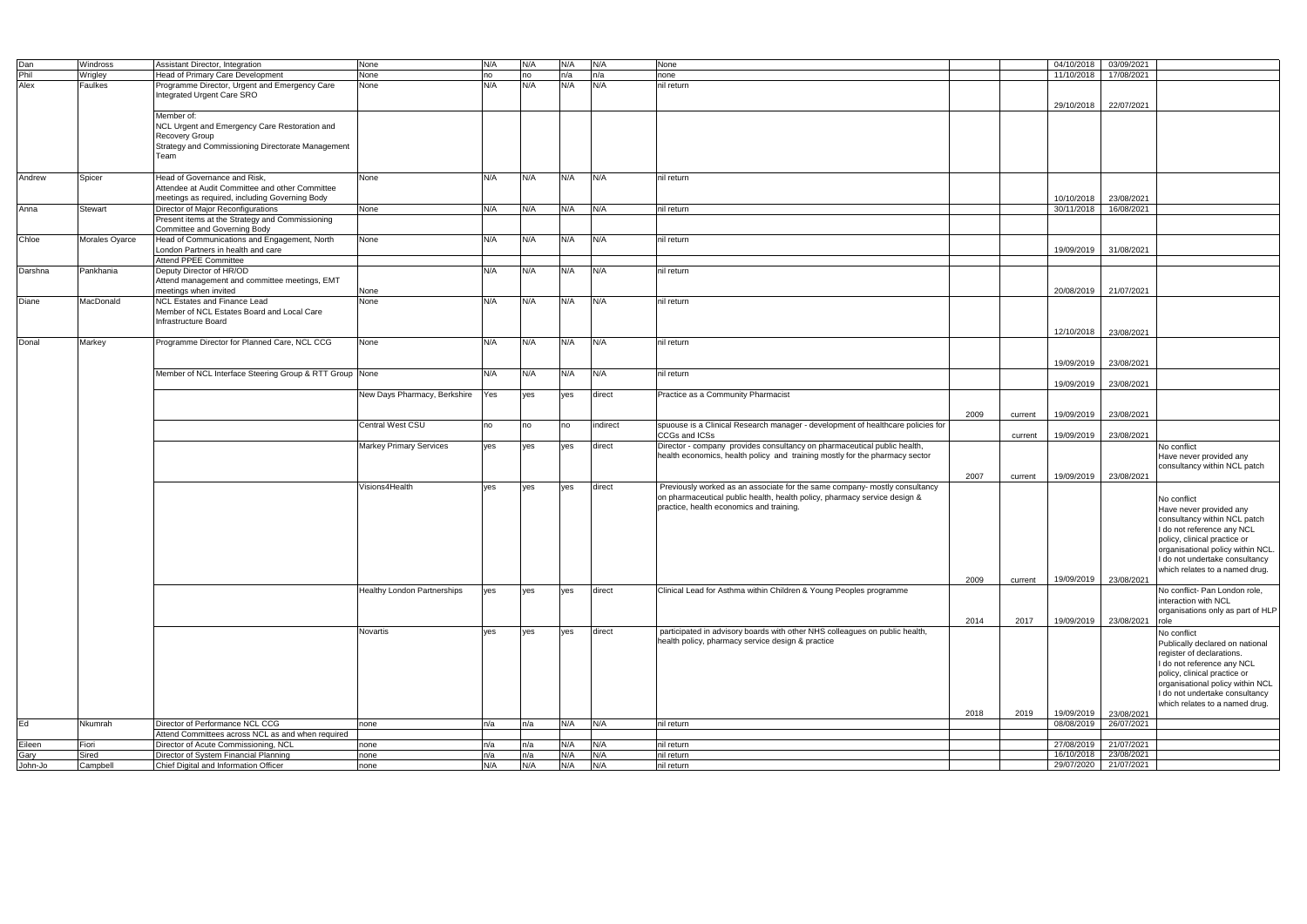| Dan     | Windross       | Assistant Director, Integration                         | None                               | N/A | N/A | N/A         | N/A      | None                                                                            |      |         | 04/10/2018            | 03/09/2021 |                                   |
|---------|----------------|---------------------------------------------------------|------------------------------------|-----|-----|-------------|----------|---------------------------------------------------------------------------------|------|---------|-----------------------|------------|-----------------------------------|
| Phil    | Wrigley        | Head of Primary Care Development                        | None                               | no  | no  | n/a         | n/a      | none                                                                            |      |         | 11/10/2018            | 17/08/2021 |                                   |
| Alex    | Faulkes        | Programme Director, Urgent and Emergency Care           | None                               | N/A | N/A | N/A         | N/A      | nil return                                                                      |      |         |                       |            |                                   |
|         |                | Integrated Urgent Care SRO                              |                                    |     |     |             |          |                                                                                 |      |         |                       |            |                                   |
|         |                |                                                         |                                    |     |     |             |          |                                                                                 |      |         | 29/10/2018            | 22/07/2021 |                                   |
|         |                |                                                         |                                    |     |     |             |          |                                                                                 |      |         |                       |            |                                   |
|         |                | Member of:                                              |                                    |     |     |             |          |                                                                                 |      |         |                       |            |                                   |
|         |                | NCL Urgent and Emergency Care Restoration and           |                                    |     |     |             |          |                                                                                 |      |         |                       |            |                                   |
|         |                | Recovery Group                                          |                                    |     |     |             |          |                                                                                 |      |         |                       |            |                                   |
|         |                | Strategy and Commissioning Directorate Management       |                                    |     |     |             |          |                                                                                 |      |         |                       |            |                                   |
|         |                | Team                                                    |                                    |     |     |             |          |                                                                                 |      |         |                       |            |                                   |
|         |                |                                                         |                                    |     |     |             |          |                                                                                 |      |         |                       |            |                                   |
|         |                |                                                         |                                    |     |     |             |          |                                                                                 |      |         |                       |            |                                   |
| Andrew  | Spicer         | Head of Governance and Risk,                            | None                               | N/A | N/A | N/A         | N/A      | nil return                                                                      |      |         |                       |            |                                   |
|         |                | Attendee at Audit Committee and other Committee         |                                    |     |     |             |          |                                                                                 |      |         |                       |            |                                   |
|         |                | meetings as required, including Governing Body          |                                    |     |     |             |          |                                                                                 |      |         | 10/10/2018            | 23/08/2021 |                                   |
|         |                |                                                         |                                    |     |     | N/A         | N/A      |                                                                                 |      |         |                       | 16/08/2021 |                                   |
| Anna    | Stewart        | Director of Major Reconfigurations                      | None                               | N/A | N/A |             |          | nil return                                                                      |      |         | 30/11/2018            |            |                                   |
|         |                | Present items at the Strategy and Commissioning         |                                    |     |     |             |          |                                                                                 |      |         |                       |            |                                   |
|         |                | Committee and Governing Body                            |                                    |     |     |             |          |                                                                                 |      |         |                       |            |                                   |
| Chloe   | Morales Oyarce | Head of Communications and Engagement, North            | None                               | N/A | N/A | N/A         | N/A      | nil return                                                                      |      |         |                       |            |                                   |
|         |                | London Partners in health and care                      |                                    |     |     |             |          |                                                                                 |      |         | 19/09/2019            | 31/08/2021 |                                   |
|         |                | <b>Attend PPEE Committee</b>                            |                                    |     |     |             |          |                                                                                 |      |         |                       |            |                                   |
|         |                |                                                         |                                    |     |     |             |          |                                                                                 |      |         |                       |            |                                   |
| Darshna | Pankhania      | Deputy Director of HR/OD                                |                                    | N/A | N/A | N/A         | N/A      | nil return                                                                      |      |         |                       |            |                                   |
|         |                | Attend management and committee meetings, EMT           |                                    |     |     |             |          |                                                                                 |      |         |                       |            |                                   |
|         |                | meetings when invited                                   | None                               |     |     |             |          |                                                                                 |      |         | 20/08/2019 21/07/2021 |            |                                   |
| Diane   | MacDonald      | <b>NCL Estates and Finance Lead</b>                     | None                               | N/A | N/A | N/A         | N/A      | nil return                                                                      |      |         |                       |            |                                   |
|         |                |                                                         |                                    |     |     |             |          |                                                                                 |      |         |                       |            |                                   |
|         |                | Member of NCL Estates Board and Local Care              |                                    |     |     |             |          |                                                                                 |      |         |                       |            |                                   |
|         |                | Infrastructure Board                                    |                                    |     |     |             |          |                                                                                 |      |         |                       |            |                                   |
|         |                |                                                         |                                    |     |     |             |          |                                                                                 |      |         | 12/10/2018            | 23/08/2021 |                                   |
| Donal   | Markey         | Programme Director for Planned Care, NCL CCG            | None                               | N/A | N/A | N/A         | N/A      | nil return                                                                      |      |         |                       |            |                                   |
|         |                |                                                         |                                    |     |     |             |          |                                                                                 |      |         |                       |            |                                   |
|         |                |                                                         |                                    |     |     |             |          |                                                                                 |      |         |                       |            |                                   |
|         |                |                                                         |                                    |     |     |             |          |                                                                                 |      |         | 19/09/2019            | 23/08/2021 |                                   |
|         |                | Member of NCL Interface Steering Group & RTT Group None |                                    | N/A | N/A | N/A         | N/A      | nil return                                                                      |      |         |                       |            |                                   |
|         |                |                                                         |                                    |     |     |             |          |                                                                                 |      |         | 19/09/2019            | 23/08/2021 |                                   |
|         |                |                                                         | New Days Pharmacy, Berkshire       | Yes | yes | ves         | direct   | Practice as a Community Pharmacist                                              |      |         |                       |            |                                   |
|         |                |                                                         |                                    |     |     |             |          |                                                                                 |      |         |                       |            |                                   |
|         |                |                                                         |                                    |     |     |             |          |                                                                                 |      |         |                       |            |                                   |
|         |                |                                                         |                                    |     |     |             |          |                                                                                 | 2009 | current | 19/09/2019            | 23/08/2021 |                                   |
|         |                |                                                         | Central West CSU                   | no  | no  | <b>I</b> no | indirect | spuouse is a Clinical Research manager - development of healthcare policies for |      |         |                       |            |                                   |
|         |                |                                                         |                                    |     |     |             |          | CCGs and ICSs                                                                   |      | current | 19/09/2019            | 23/08/2021 |                                   |
|         |                |                                                         | <b>Markey Primary Services</b>     | yes | ves | ves         | direct   | Director - company provides consultancy on pharmaceutical public health,        |      |         |                       |            | No conflict                       |
|         |                |                                                         |                                    |     |     |             |          |                                                                                 |      |         |                       |            |                                   |
|         |                |                                                         |                                    |     |     |             |          | health economics, health policy and training mostly for the pharmacy sector     |      |         |                       |            | Have never provided any           |
|         |                |                                                         |                                    |     |     |             |          |                                                                                 |      |         |                       |            | consultancy within NCL patch      |
|         |                |                                                         |                                    |     |     |             |          |                                                                                 | 2007 | current | 19/09/2019            | 23/08/2021 |                                   |
|         |                |                                                         | Visions4Health                     | ves | ves | ves         | direct   | Previously worked as an associate for the same company- mostly consultancy      |      |         |                       |            |                                   |
|         |                |                                                         |                                    |     |     |             |          |                                                                                 |      |         |                       |            |                                   |
|         |                |                                                         |                                    |     |     |             |          | on pharmaceutical public health, health policy, pharmacy service design &       |      |         |                       |            | No conflict                       |
|         |                |                                                         |                                    |     |     |             |          | practice, health economics and training.                                        |      |         |                       |            | Have never provided any           |
|         |                |                                                         |                                    |     |     |             |          |                                                                                 |      |         |                       |            | consultancy within NCL patch      |
|         |                |                                                         |                                    |     |     |             |          |                                                                                 |      |         |                       |            | I do not reference any NCL        |
|         |                |                                                         |                                    |     |     |             |          |                                                                                 |      |         |                       |            |                                   |
|         |                |                                                         |                                    |     |     |             |          |                                                                                 |      |         |                       |            | policy, clinical practice or      |
|         |                |                                                         |                                    |     |     |             |          |                                                                                 |      |         |                       |            | organisational policy within NCL. |
|         |                |                                                         |                                    |     |     |             |          |                                                                                 |      |         |                       |            | I do not undertake consultancy    |
|         |                |                                                         |                                    |     |     |             |          |                                                                                 |      |         |                       |            | which relates to a named drug.    |
|         |                |                                                         |                                    |     |     |             |          |                                                                                 | 2009 |         | 19/09/2019            | 23/08/2021 |                                   |
|         |                |                                                         |                                    |     |     |             |          |                                                                                 |      | current |                       |            |                                   |
|         |                |                                                         | <b>Healthy London Partnerships</b> | yes | yes | yes         | direct   | Clinical Lead for Asthma within Children & Young Peoples programme              |      |         |                       |            | No conflict- Pan London role,     |
|         |                |                                                         |                                    |     |     |             |          |                                                                                 |      |         |                       |            | interaction with NCL              |
|         |                |                                                         |                                    |     |     |             |          |                                                                                 |      |         |                       |            | organisations only as part of HLP |
|         |                |                                                         |                                    |     |     |             |          |                                                                                 | 2014 | 2017    | 19/09/2019            | 23/08/2021 | role                              |
|         |                |                                                         |                                    |     |     |             |          |                                                                                 |      |         |                       |            |                                   |
|         |                |                                                         | Novartis                           | ves | yes | yes         | direct   | participated in advisory boards with other NHS colleagues on public health,     |      |         |                       |            | No conflict                       |
|         |                |                                                         |                                    |     |     |             |          | health policy, pharmacy service design & practice                               |      |         |                       |            | Publically declared on national   |
|         |                |                                                         |                                    |     |     |             |          |                                                                                 |      |         |                       |            | register of declarations.         |
|         |                |                                                         |                                    |     |     |             |          |                                                                                 |      |         |                       |            |                                   |
|         |                |                                                         |                                    |     |     |             |          |                                                                                 |      |         |                       |            | I do not reference any NCL        |
|         |                |                                                         |                                    |     |     |             |          |                                                                                 |      |         |                       |            | policy, clinical practice or      |
|         |                |                                                         |                                    |     |     |             |          |                                                                                 |      |         |                       |            | organisational policy within NCL  |
|         |                |                                                         |                                    |     |     |             |          |                                                                                 |      |         |                       |            | I do not undertake consultancy    |
|         |                |                                                         |                                    |     |     |             |          |                                                                                 |      |         |                       |            | which relates to a named drug.    |
|         |                |                                                         |                                    |     |     |             |          |                                                                                 | 2018 | 2019    | 19/09/2019            |            |                                   |
|         |                |                                                         |                                    |     |     |             |          |                                                                                 |      |         |                       | 23/08/2021 |                                   |
| Ed      | Nkumrah        | Director of Performance NCL CCG                         | none                               | n/a | n/a | N/A         | N/A      | nil return                                                                      |      |         | 08/08/2019            | 26/07/2021 |                                   |
|         |                | Attend Committees across NCL as and when required       |                                    |     |     |             |          |                                                                                 |      |         |                       |            |                                   |
| Eileen  | Fiori          | Director of Acute Commissioning, NCL                    | none                               | n/a | n/a | N/A         | N/A      | nil return                                                                      |      |         | 27/08/2019            | 21/07/2021 |                                   |
| Gary    | Sired          | Director of System Financial Planning                   | none                               | n/a | n/a | N/A         | N/A      | nil return                                                                      |      |         | 16/10/2018            | 23/08/2021 |                                   |
| John-Jo |                | Chief Digital and Information Officer                   |                                    | N/A | N/A | N/A         | N/A      | nil return                                                                      |      |         |                       | 21/07/2021 |                                   |
|         | Campbell       |                                                         | none                               |     |     |             |          |                                                                                 |      |         | 29/07/2020            |            |                                   |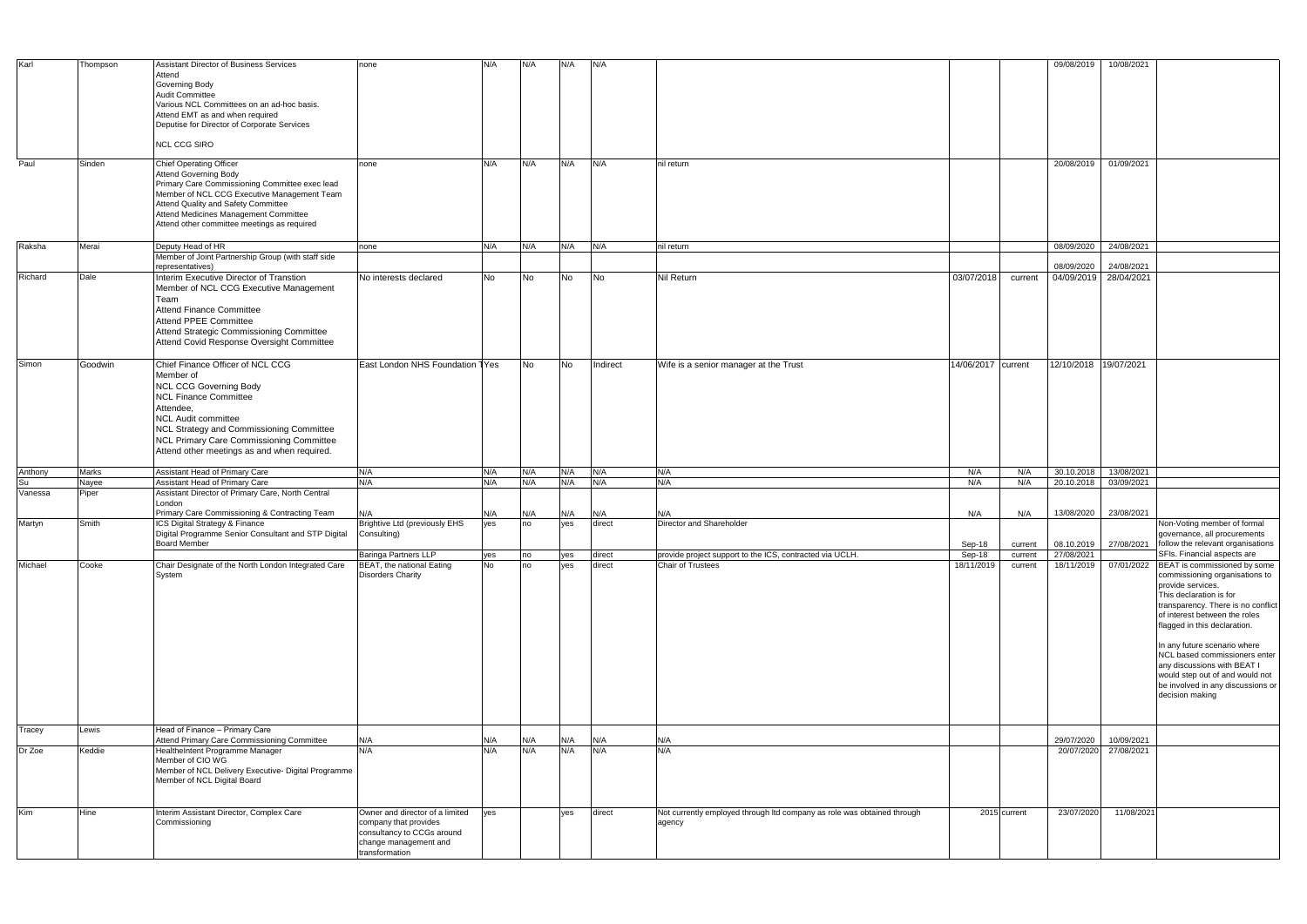| Karl          |          | Assistant Director of Business Services                                             |                                                     |           |           |     |           |                                                                         |                    |              |                       |            |                                                      |
|---------------|----------|-------------------------------------------------------------------------------------|-----------------------------------------------------|-----------|-----------|-----|-----------|-------------------------------------------------------------------------|--------------------|--------------|-----------------------|------------|------------------------------------------------------|
|               | Thompson |                                                                                     | none                                                | N/A       | N/A       | N/A | N/A       |                                                                         |                    |              | 09/08/2019            | 10/08/2021 |                                                      |
|               |          | Attend                                                                              |                                                     |           |           |     |           |                                                                         |                    |              |                       |            |                                                      |
|               |          | Governing Body                                                                      |                                                     |           |           |     |           |                                                                         |                    |              |                       |            |                                                      |
|               |          | <b>Audit Committee</b>                                                              |                                                     |           |           |     |           |                                                                         |                    |              |                       |            |                                                      |
|               |          | Various NCL Committees on an ad-hoc basis.                                          |                                                     |           |           |     |           |                                                                         |                    |              |                       |            |                                                      |
|               |          | Attend EMT as and when required                                                     |                                                     |           |           |     |           |                                                                         |                    |              |                       |            |                                                      |
|               |          | Deputise for Director of Corporate Services                                         |                                                     |           |           |     |           |                                                                         |                    |              |                       |            |                                                      |
|               |          |                                                                                     |                                                     |           |           |     |           |                                                                         |                    |              |                       |            |                                                      |
|               |          | <b>NCL CCG SIRO</b>                                                                 |                                                     |           |           |     |           |                                                                         |                    |              |                       |            |                                                      |
| Paul          | Sinden   | Chief Operating Officer                                                             | none                                                | N/A       | N/A       | N/A | N/A       | nil return                                                              |                    |              | 20/08/2019            | 01/09/2021 |                                                      |
|               |          | Attend Governing Body                                                               |                                                     |           |           |     |           |                                                                         |                    |              |                       |            |                                                      |
|               |          | Primary Care Commissioning Committee exec lead                                      |                                                     |           |           |     |           |                                                                         |                    |              |                       |            |                                                      |
|               |          | Member of NCL CCG Executive Management Team                                         |                                                     |           |           |     |           |                                                                         |                    |              |                       |            |                                                      |
|               |          | Attend Quality and Safety Committee                                                 |                                                     |           |           |     |           |                                                                         |                    |              |                       |            |                                                      |
|               |          | Attend Medicines Management Committee                                               |                                                     |           |           |     |           |                                                                         |                    |              |                       |            |                                                      |
|               |          | Attend other committee meetings as required                                         |                                                     |           |           |     |           |                                                                         |                    |              |                       |            |                                                      |
|               |          |                                                                                     |                                                     |           |           |     |           |                                                                         |                    |              |                       |            |                                                      |
| Raksha        | Merai    | Deputy Head of HR                                                                   | none                                                | N/A       | N/A       | N/A | N/A       | nil return                                                              |                    |              | 08/09/2020            | 24/08/2021 |                                                      |
|               |          | Member of Joint Partnership Group (with staff side<br>representatives)              |                                                     |           |           |     |           |                                                                         |                    |              | 08/09/2020            | 24/08/2021 |                                                      |
| Richard       | Dale     | Interim Executive Director of Transtion                                             | No interests declared                               | No        | No        | No  | <b>No</b> | Nil Return                                                              | 03/07/2018         | current      | 04/09/2019            | 28/04/2021 |                                                      |
|               |          | Member of NCL CCG Executive Management                                              |                                                     |           |           |     |           |                                                                         |                    |              |                       |            |                                                      |
|               |          |                                                                                     |                                                     |           |           |     |           |                                                                         |                    |              |                       |            |                                                      |
|               |          | Team                                                                                |                                                     |           |           |     |           |                                                                         |                    |              |                       |            |                                                      |
|               |          | Attend Finance Committee                                                            |                                                     |           |           |     |           |                                                                         |                    |              |                       |            |                                                      |
|               |          | Attend PPEE Committee                                                               |                                                     |           |           |     |           |                                                                         |                    |              |                       |            |                                                      |
|               |          | Attend Strategic Commissioning Committee                                            |                                                     |           |           |     |           |                                                                         |                    |              |                       |            |                                                      |
|               |          | Attend Covid Response Oversight Committee                                           |                                                     |           |           |     |           |                                                                         |                    |              |                       |            |                                                      |
|               |          |                                                                                     |                                                     |           |           |     |           |                                                                         |                    |              |                       |            |                                                      |
| Simon         | Goodwin  | Chief Finance Officer of NCL CCG                                                    | East London NHS Foundation 1Yes                     |           | <b>No</b> | No. | Indirect  | Wife is a senior manager at the Trust                                   | 14/06/2017 current |              | 12/10/2018 19/07/2021 |            |                                                      |
|               |          | Member of                                                                           |                                                     |           |           |     |           |                                                                         |                    |              |                       |            |                                                      |
|               |          | <b>NCL CCG Governing Body</b>                                                       |                                                     |           |           |     |           |                                                                         |                    |              |                       |            |                                                      |
|               |          | <b>NCL Finance Committee</b>                                                        |                                                     |           |           |     |           |                                                                         |                    |              |                       |            |                                                      |
|               |          | Attendee,                                                                           |                                                     |           |           |     |           |                                                                         |                    |              |                       |            |                                                      |
|               |          | <b>NCL Audit committee</b>                                                          |                                                     |           |           |     |           |                                                                         |                    |              |                       |            |                                                      |
|               |          | NCL Strategy and Commissioning Committee                                            |                                                     |           |           |     |           |                                                                         |                    |              |                       |            |                                                      |
|               |          | NCL Primary Care Commissioning Committee                                            |                                                     |           |           |     |           |                                                                         |                    |              |                       |            |                                                      |
|               |          | Attend other meetings as and when required.                                         |                                                     |           |           |     |           |                                                                         |                    |              |                       |            |                                                      |
|               |          |                                                                                     |                                                     |           |           |     |           |                                                                         |                    |              |                       |            |                                                      |
| Anthony       | Marks    | Assistant Head of Primary Care                                                      | N/A                                                 | N/A       | N/A       | N/A | N/A       | N/A                                                                     | N/A                | N/A          | 30.10.2018            | 13/08/2021 |                                                      |
| Su<br>Vanessa | Nayee    | Assistant Head of Primary Care<br>Assistant Director of Primary Care, North Central | N/A                                                 | N/A       | N/A       | N/A | N/A       | N/A                                                                     | N/A                | N/A          | 20.10.2018            | 03/09/2021 |                                                      |
|               | Piper    | London                                                                              |                                                     |           |           |     |           |                                                                         |                    |              |                       |            |                                                      |
|               |          | Primary Care Commissioning & Contracting Team                                       | N/A                                                 | N/A       | N/A       | N/A | N/A       | N/A                                                                     | N/A                | N/A          | 13/08/2020            | 23/08/2021 |                                                      |
| Martyn        | Smith    | ICS Digital Strategy & Finance                                                      | Brightive Ltd (previously EHS                       | yes       | no        | yes | direct    | Director and Shareholder                                                |                    |              |                       |            | Non-Voting member of formal                          |
|               |          | Digital Programme Senior Consultant and STP Digital                                 | Consulting)                                         |           |           |     |           |                                                                         |                    |              |                       |            | governance, all procurements                         |
|               |          | <b>Board Member</b>                                                                 |                                                     |           |           |     |           |                                                                         | Sep-18             | current      | 08.10.2019            | 27/08/2021 | follow the relevant organisations                    |
|               |          |                                                                                     | <b>Baringa Partners LLP</b>                         | yes       | no        | ves | direct    | provide project support to the ICS, contracted via UCLH.                | Sep-18             | current      | 27/08/2021            |            | SFIs. Financial aspects are                          |
| Michael       | Cooke    | Chair Designate of the North London Integrated Care                                 | BEAT, the national Eating                           | <b>No</b> | no        | yes | direct    | <b>Chair of Trustees</b>                                                | 18/11/2019         | current      | 18/11/2019            |            | 07/01/2022 BEAT is commissioned by some              |
|               |          | System                                                                              | <b>Disorders Charity</b>                            |           |           |     |           |                                                                         |                    |              |                       |            | commissioning organisations to                       |
|               |          |                                                                                     |                                                     |           |           |     |           |                                                                         |                    |              |                       |            | provide services.                                    |
|               |          |                                                                                     |                                                     |           |           |     |           |                                                                         |                    |              |                       |            | This declaration is for                              |
|               |          |                                                                                     |                                                     |           |           |     |           |                                                                         |                    |              |                       |            | transparency. There is no conflict                   |
|               |          |                                                                                     |                                                     |           |           |     |           |                                                                         |                    |              |                       |            | of interest between the roles                        |
|               |          |                                                                                     |                                                     |           |           |     |           |                                                                         |                    |              |                       |            | flagged in this declaration.                         |
|               |          |                                                                                     |                                                     |           |           |     |           |                                                                         |                    |              |                       |            |                                                      |
|               |          |                                                                                     |                                                     |           |           |     |           |                                                                         |                    |              |                       |            | In any future scenario where                         |
|               |          |                                                                                     |                                                     |           |           |     |           |                                                                         |                    |              |                       |            | NCL based commissioners enter                        |
|               |          |                                                                                     |                                                     |           |           |     |           |                                                                         |                    |              |                       |            | any discussions with BEAT I                          |
|               |          |                                                                                     |                                                     |           |           |     |           |                                                                         |                    |              |                       |            | would step out of and would not                      |
|               |          |                                                                                     |                                                     |           |           |     |           |                                                                         |                    |              |                       |            | be involved in any discussions or<br>decision making |
|               |          |                                                                                     |                                                     |           |           |     |           |                                                                         |                    |              |                       |            |                                                      |
|               |          |                                                                                     |                                                     |           |           |     |           |                                                                         |                    |              |                       |            |                                                      |
|               |          |                                                                                     |                                                     |           |           |     |           |                                                                         |                    |              |                       |            |                                                      |
| Tracey        | Lewis    | Head of Finance - Primary Care<br>Attend Primary Care Commissioning Committee       | N/A                                                 | N/A       | N/A       | N/A | N/A       | N/A                                                                     |                    |              | 29/07/2020            | 10/09/2021 |                                                      |
| Dr Zoe        | Keddie   | HealtheIntent Programme Manager                                                     | N/A                                                 | N/A       | N/A       | N/A | N/A       | N/A                                                                     |                    |              | 20/07/2020            | 27/08/2021 |                                                      |
|               |          | Member of CIO WG                                                                    |                                                     |           |           |     |           |                                                                         |                    |              |                       |            |                                                      |
|               |          | Member of NCL Delivery Executive- Digital Programme                                 |                                                     |           |           |     |           |                                                                         |                    |              |                       |            |                                                      |
|               |          | Member of NCL Digital Board                                                         |                                                     |           |           |     |           |                                                                         |                    |              |                       |            |                                                      |
|               |          |                                                                                     |                                                     |           |           |     |           |                                                                         |                    |              |                       |            |                                                      |
|               |          |                                                                                     |                                                     |           |           |     |           |                                                                         |                    |              |                       |            |                                                      |
| Kim           | Hine     | Interim Assistant Director, Complex Care                                            | Owner and director of a limited                     | yes       |           | yes | direct    | Not currently employed through Itd company as role was obtained through |                    | 2015 current | 23/07/2020            | 11/08/2021 |                                                      |
|               |          | Commissioning                                                                       | company that provides                               |           |           |     |           | agency                                                                  |                    |              |                       |            |                                                      |
|               |          |                                                                                     | consultancy to CCGs around<br>change management and |           |           |     |           |                                                                         |                    |              |                       |            |                                                      |
|               |          |                                                                                     | transformation                                      |           |           |     |           |                                                                         |                    |              |                       |            |                                                      |
|               |          |                                                                                     |                                                     |           |           |     |           |                                                                         |                    |              |                       |            |                                                      |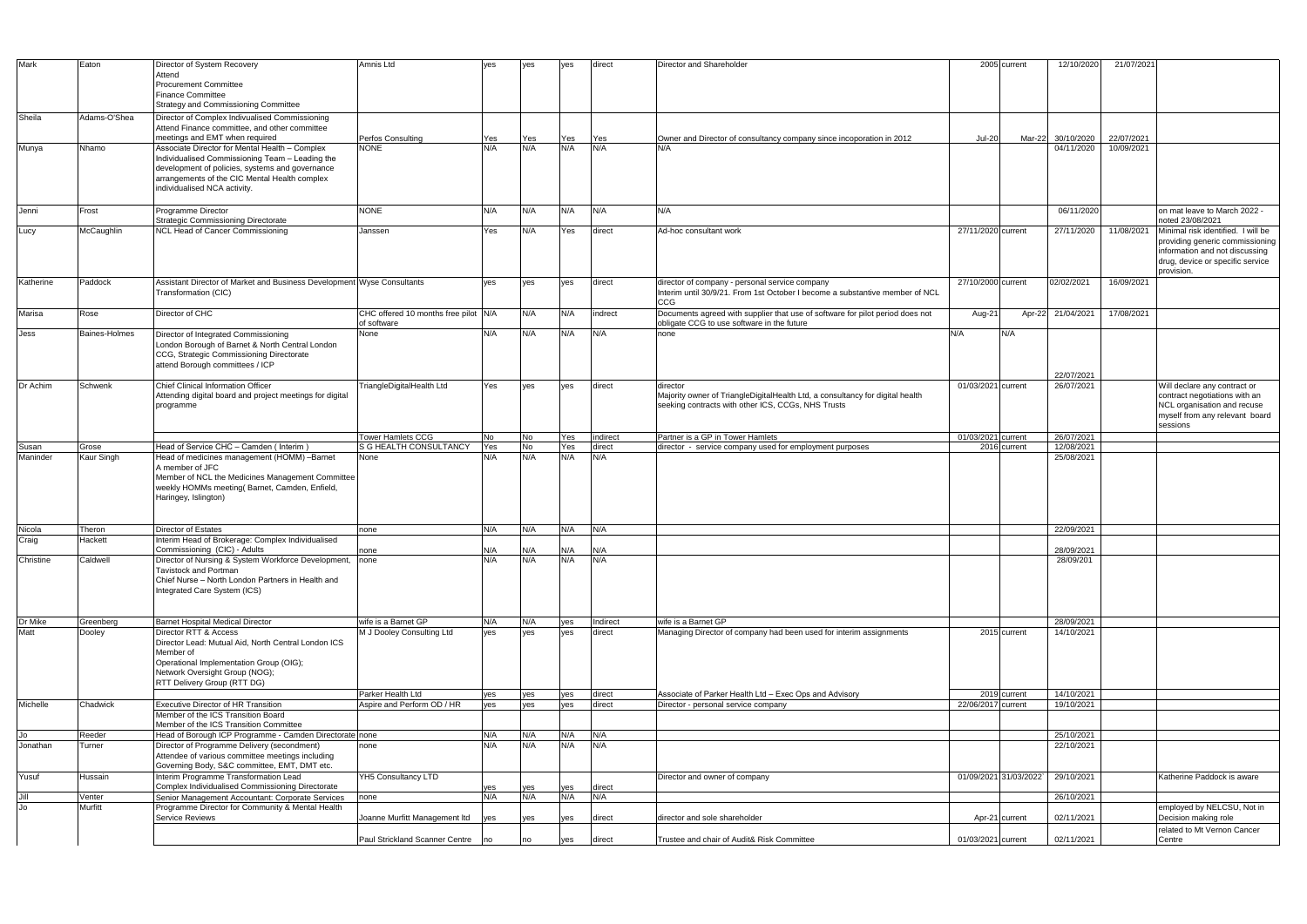| <b>Mark</b> | Eaton         | Director of System Recovery                                                                                                                                                                            | Amnis Ltd                                           | yes        | ves        | ves        | direct     | Director and Shareholder                                                                                                                        | 2005 current            | 12/10/2020               | 21/07/2021               |                                                                                                                                                           |
|-------------|---------------|--------------------------------------------------------------------------------------------------------------------------------------------------------------------------------------------------------|-----------------------------------------------------|------------|------------|------------|------------|-------------------------------------------------------------------------------------------------------------------------------------------------|-------------------------|--------------------------|--------------------------|-----------------------------------------------------------------------------------------------------------------------------------------------------------|
|             |               | Attend<br><b>Procurement Committee</b><br><b>Finance Committee</b>                                                                                                                                     |                                                     |            |            |            |            |                                                                                                                                                 |                         |                          |                          |                                                                                                                                                           |
|             |               | Strategy and Commissioning Committee                                                                                                                                                                   |                                                     |            |            |            |            |                                                                                                                                                 |                         |                          |                          |                                                                                                                                                           |
| Sheila      | Adams-O'Shea  | Director of Complex Indivualised Commissioning<br>Attend Finance committee, and other committee                                                                                                        |                                                     |            |            |            |            |                                                                                                                                                 |                         |                          |                          |                                                                                                                                                           |
| Munya       | Nhamo         | meetings and EMT when required<br>Associate Director for Mental Health - Complex                                                                                                                       | Perfos Consulting<br><b>NONE</b>                    | Yes<br>N/A | Yes<br>N/A | Yes<br>N/A | Yes<br>N/A | Owner and Director of consultancy company since incoporation in 2012<br>N/A                                                                     | <b>Jul-20</b><br>Mar-22 | 30/10/2020<br>04/11/2020 | 22/07/2021<br>10/09/2021 |                                                                                                                                                           |
|             |               | Individualised Commissioning Team - Leading the<br>development of policies, systems and governance<br>arrangements of the CIC Mental Health complex<br>individualised NCA activity.                    |                                                     |            |            |            |            |                                                                                                                                                 |                         |                          |                          |                                                                                                                                                           |
| Jenni       | Frost         | Programme Director<br><b>Strategic Commissioning Directorate</b>                                                                                                                                       | <b>NONE</b>                                         | N/A        | N/A        | N/A        | N/A        | N/A                                                                                                                                             |                         | 06/11/2020               |                          | on mat leave to March 2022 -<br>noted 23/08/2021                                                                                                          |
| Lucy        | McCaughlin    | NCL Head of Cancer Commissioning                                                                                                                                                                       | Janssen                                             | Yes        | N/A        | Yes        | direct     | Ad-hoc consultant work                                                                                                                          | 27/11/2020 current      | 27/11/2020               | 11/08/2021               | Minimal risk identified. I will be<br>providing generic commissioning<br>information and not discussing<br>drug, device or specific service<br>provision. |
| Katherine   | Paddock       | Assistant Director of Market and Business Development Wyse Consultants<br>Transformation (CIC)                                                                                                         |                                                     | ves        | ves        | ves        | direct     | director of company - personal service company<br>Interim until 30/9/21. From 1st October I become a substantive member of NCL<br>CCG           | 27/10/2000 current      | 02/02/2021               | 16/09/2021               |                                                                                                                                                           |
| Marisa      | Rose          | Director of CHC                                                                                                                                                                                        | CHC offered 10 months free pilot N/A<br>of software |            | N/A        | N/A        | indrect    | Documents agreed with supplier that use of software for pilot period does not<br>obligate CCG to use software in the future                     | Aug-21                  | Apr-22 21/04/2021        | 17/08/2021               |                                                                                                                                                           |
| Jess        | Baines-Holmes | Director of Integrated Commissioning<br>London Borough of Barnet & North Central London<br>CCG, Strategic Commissioning Directorate<br>attend Borough committees / ICP                                 | None                                                | N/A        | N/A        | N/A        | N/A        | none                                                                                                                                            | N/A<br>N/A              | 22/07/2021               |                          |                                                                                                                                                           |
| Dr Achim    | Schwenk       | <b>Chief Clinical Information Officer</b><br>Attending digital board and project meetings for digital<br>programme                                                                                     | TriangleDigitalHealth Ltd                           | Yes        | ves        | yes        | direct     | director<br>Majority owner of TriangleDigitalHealth Ltd, a consultancy for digital health<br>seeking contracts with other ICS, CCGs, NHS Trusts | 01/03/2021 current      | 26/07/2021               |                          | Will declare any contract or<br>contract negotiations with an<br>NCL organisation and recuse<br>myself from any relevant board<br>sessions                |
|             |               |                                                                                                                                                                                                        | <b>Tower Hamlets CCG</b>                            | No         | <b>No</b>  | Yes        | indirect   | Partner is a GP in Tower Hamlets                                                                                                                | 01/03/2021 current      | 26/07/2021               |                          |                                                                                                                                                           |
| Susan       | Grose         | Head of Service CHC - Camden (Interim)                                                                                                                                                                 | S G HEALTH CONSULTANCY                              | Yes        | No         | Yes        | direct     | director - service company used for employment purposes                                                                                         | 2016 current            | 12/08/2021               |                          |                                                                                                                                                           |
| Maninder    | Kaur Singh    | Head of medicines management (HOMM) -Barnet<br>A member of JFC<br>Member of NCL the Medicines Management Committee<br>weekly HOMMs meeting(Barnet, Camden, Enfield,<br>Haringey, Islington)            | None                                                | N/A        | N/A        | N/A        | N/A        |                                                                                                                                                 |                         | 25/08/2021               |                          |                                                                                                                                                           |
| Nicola      | Theron        | <b>Director of Estates</b>                                                                                                                                                                             | none                                                | N/A        | N/A        | N/A        | N/A        |                                                                                                                                                 |                         | 22/09/2021               |                          |                                                                                                                                                           |
| Craig       | Hackett       | Interim Head of Brokerage: Complex Individualised                                                                                                                                                      |                                                     |            |            |            |            |                                                                                                                                                 |                         |                          |                          |                                                                                                                                                           |
| Christine   | Caldwell      | Commissioning (CIC) - Adults<br>Director of Nursing & System Workforce Development, none<br>Tavistock and Portman<br>Chief Nurse - North London Partners in Health and<br>Integrated Care System (ICS) | ∣none                                               | N/A<br>N/A | N/A<br>N/A | N/A<br>N/A | N/A<br>N/A |                                                                                                                                                 |                         | 28/09/2021<br>28/09/201  |                          |                                                                                                                                                           |
| Dr Mike     | Greenberg     | <b>Barnet Hospital Medical Director</b>                                                                                                                                                                | wife is a Barnet GP                                 | N/A        | N/A        | yes        | Indirect   | wife is a Barnet GP                                                                                                                             |                         | 28/09/2021               |                          |                                                                                                                                                           |
| Matt        | Dooley        | Director RTT & Access<br>Director Lead: Mutual Aid. North Central London ICS<br>Member of<br>Operational Implementation Group (OIG);<br>Network Oversight Group (NOG);<br>RTT Delivery Group (RTT DG)  | M J Dooley Consulting Ltd                           | ves        | yes        | yes        | direct     | Managing Director of company had been used for interim assignments                                                                              | 2015 current            | 14/10/2021               |                          |                                                                                                                                                           |
|             |               |                                                                                                                                                                                                        | Parker Health Ltd                                   | yes        | yes        | yes        | direct     | Associate of Parker Health Ltd - Exec Ops and Advisory                                                                                          | 2019 current            | 14/10/2021               |                          |                                                                                                                                                           |
| Michelle    | Chadwick      | <b>Executive Director of HR Transition</b><br>Member of the ICS Transition Board<br>Member of the ICS Transition Committee                                                                             | Aspire and Perform OD / HR                          | yes        | yes        | yes        | direct     | Director - personal service company                                                                                                             | 22/06/2017 current      | 19/10/2021               |                          |                                                                                                                                                           |
| Jo          | Reeder        | Head of Borough ICP Programme - Camden Directorate none                                                                                                                                                |                                                     | N/A        | N/A        | N/A        | N/A        |                                                                                                                                                 |                         | 25/10/2021               |                          |                                                                                                                                                           |
| Jonathan    | Turner        | Director of Programme Delivery (secondment)<br>Attendee of various committee meetings including<br>Governing Body, S&C committee, EMT, DMT etc.                                                        | none                                                | N/A        | N/A        | N/A        | N/A        |                                                                                                                                                 |                         | 22/10/2021               |                          |                                                                                                                                                           |
| Yusuf       | Hussain       | Interim Programme Transformation Lead<br>Complex Individualised Commissioning Directorate                                                                                                              | YH5 Consultancy LTD                                 |            |            | yes        | direct     | Director and owner of company                                                                                                                   | 01/09/2021 31/03/2022`  | 29/10/2021               |                          | Katherine Paddock is aware                                                                                                                                |
| Jill        | Venter        | Senior Management Accountant: Corporate Services                                                                                                                                                       | none                                                | yes<br>N/A | yes<br>N/A | N/A        | N/A        |                                                                                                                                                 |                         | 26/10/2021               |                          |                                                                                                                                                           |
| Jo          | Murfitt       | Programme Director for Community & Mental Health<br><b>Service Reviews</b>                                                                                                                             | Joanne Murfitt Management Itd                       | yes        | yes        | yes        | direct     | director and sole shareholder                                                                                                                   | Apr-21 current          | 02/11/2021               |                          | employed by NELCSU, Not in<br>Decision making role<br>related to Mt Vernon Cancer                                                                         |
|             |               |                                                                                                                                                                                                        | Paul Strickland Scanner Centre                      | Ino        | no         | yes        | direct     | Trustee and chair of Audit& Risk Committee                                                                                                      | 01/03/2021 current      | 02/11/2021               |                          | Centre                                                                                                                                                    |